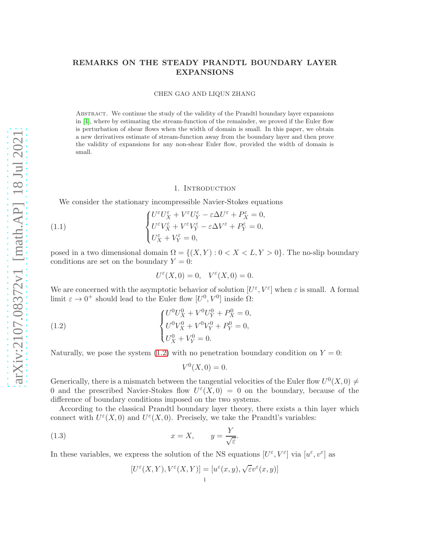# REMARKS ON THE STEADY PRANDTL BOUNDARY LAYER EXPANSIONS

CHEN GAO AND LIQUN ZHANG

Abstract. We continue the study of the validity of the Prandtl boundary layer expansions in [\[4\]](#page-27-0), where by estimating the stream-function of the remainder, we proved if the Euler flow is perturbation of shear flows when the width of domain is small. In this paper, we obtain a new derivatives estimate of stream-function away from the boundary layer and then prove the validity of expansions for any non-shear Euler flow, provided the width of domain is small.

#### <span id="page-0-1"></span>1. Introduction

We consider the stationary incompressible Navier-Stokes equations

(1.1) 
$$
\begin{cases} U^{\varepsilon}U_{X}^{\varepsilon} + V^{\varepsilon}U_{Y}^{\varepsilon} - \varepsilon \Delta U^{\varepsilon} + P_{X}^{\varepsilon} = 0, \\ U^{\varepsilon}V_{X}^{\varepsilon} + V^{\varepsilon}V_{Y}^{\varepsilon} - \varepsilon \Delta V^{\varepsilon} + P_{Y}^{\varepsilon} = 0, \\ U_{X}^{\varepsilon} + V_{Y}^{\varepsilon} = 0, \end{cases}
$$

posed in a two dimensional domain  $\Omega = \{(X, Y) : 0 < X < L, Y > 0\}$ . The no-slip boundary conditions are set on the boundary  $Y = 0$ :

$$
U^{\varepsilon}(X,0) = 0, \quad V^{\varepsilon}(X,0) = 0.
$$

We are concerned with the asymptotic behavior of solution  $[U^{\varepsilon}, V^{\varepsilon}]$  when  $\varepsilon$  is small. A formal limit  $\varepsilon \to 0^+$  should lead to the Euler flow  $[U^0, V^0]$  inside  $\Omega$ :

(1.2) 
$$
\begin{cases} U^0 U_X^0 + V^0 U_Y^0 + P_X^0 = 0, \\ U^0 V_X^0 + V^0 V_Y^0 + P_Y^0 = 0, \\ U_X^0 + V_Y^0 = 0. \end{cases}
$$

Naturally, we pose the system [\(1.2\)](#page-0-0) with no penetration boundary condition on  $Y = 0$ :

<span id="page-0-0"></span>
$$
V^0(X,0) = 0.
$$

Generically, there is a mismatch between the tangential velocities of the Euler flow  $U^0(X,0) \neq$ 0 and the prescribed Navier-Stokes flow  $U^{\varepsilon}(X,0) = 0$  on the boundary, because of the difference of boundary conditions imposed on the two systems.

According to the classical Prandtl boundary layer theory, there exists a thin layer which connect with  $U^{\varepsilon}(X,0)$  and  $U^{\varepsilon}(X,0)$ . Precisely, we take the Prandtl's variables:

(1.3) 
$$
x = X, \qquad y = \frac{Y}{\sqrt{\varepsilon}}.
$$

In these variables, we express the solution of the NS equations  $[U^{\varepsilon}, V^{\varepsilon}]$  via  $[u^{\varepsilon}, v^{\varepsilon}]$  as

$$
[U^{\varepsilon}(X,Y),V^{\varepsilon}(X,Y)]=[u^{\varepsilon}(x,y),\sqrt{\varepsilon}v^{\varepsilon}(x,y)]
$$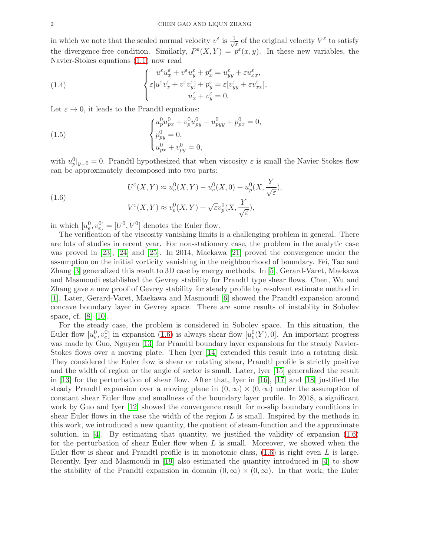in which we note that the scaled normal velocity  $v^{\varepsilon}$  is  $\frac{1}{\sqrt{2}}$  $\frac{1}{\varepsilon}$  of the original velocity  $V^{\varepsilon}$  to satisfy the divergence-free condition. Similarly,  $P^{\epsilon}(X,Y) = p^{\epsilon}(x,y)$ . In these new variables, the Navier-Stokes equations [\(1.1\)](#page-0-1) now read

(1.4) 
$$
\begin{cases} u^{\varepsilon}u_{x}^{\varepsilon} + v^{\varepsilon}u_{y}^{\varepsilon} + p_{x}^{\varepsilon} = u_{yy}^{\varepsilon} + \varepsilon u_{xx}^{\varepsilon}, \\ \varepsilon[u^{\varepsilon}v_{x}^{\varepsilon} + v^{\varepsilon}v_{y}^{\varepsilon}] + p_{y}^{\varepsilon} = \varepsilon[v_{yy}^{\varepsilon} + \varepsilon v_{xx}^{\varepsilon}], \\ u_{x}^{\varepsilon} + v_{y}^{\varepsilon} = 0. \end{cases}
$$

Let  $\varepsilon \to 0$ , it leads to the Prandtl equations:

(1.5) 
$$
\begin{cases} u_p^0 u_{px}^0 + v_p^0 u_{py}^0 - u_{pyy}^0 + p_{px}^0 = 0, \\ p_{py}^0 = 0, \\ u_{px}^0 + v_{py}^0 = 0, \end{cases}
$$

with  $u_p^0|_{y=0} = 0$ . Prandtl hypothesized that when viscosity  $\varepsilon$  is small the Navier-Stokes flow can be approximately decomposed into two parts:

<span id="page-1-0"></span>(1.6) 
$$
U^{\varepsilon}(X,Y) \approx u_e^0(X,Y) - u_e^0(X,0) + u_p^0(X,\frac{Y}{\sqrt{\varepsilon}}),
$$

$$
V^{\varepsilon}(X,Y) \approx v_e^0(X,Y) + \sqrt{\varepsilon}v_p^0(X,\frac{Y}{\sqrt{\varepsilon}}),
$$

in which  $[u_e^0, v_e^0] = [U^0, V^0]$  denotes the Euler flow.

The verification of the viscosity vanishing limits is a challenging problem in general. There are lots of studies in recent year. For non-stationary case, the problem in the analytic case was proved in [\[23\]](#page-28-0), [\[24\]](#page-28-1) and [\[25\]](#page-28-2). In 2014, Maekawa [\[21\]](#page-28-3) proved the convergence under the assumption on the initial vorticity vanishing in the neighbourhood of boundary. Fei, Tao and Zhang [\[3\]](#page-27-1) generalized this result to 3D case by energy methods. In [\[5\]](#page-28-4), Gerard-Varet, Maekawa and Masmoudi established the Gevrey stability for Prandtl type shear flows. Chen, Wu and Zhang gave a new proof of Gevrey stability for steady profile by resolvent estimate method in [\[1\]](#page-27-2). Later, Gerard-Varet, Maekawa and Masmoudi [\[6\]](#page-28-5) showed the Prandtl expansion around concave boundary layer in Gevrey space. There are some results of instablity in Sobolev space, cf. [\[8\]](#page-28-6)-[\[10\]](#page-28-7).

For the steady case, the problem is considered in Sobolev space. In this situation, the Euler flow  $[u_e^0, v_e^0]$  in expansion [\(1.6\)](#page-1-0) is always shear flow  $[u_e^0(Y), 0]$ . An important progress was made by Guo, Nguyen [\[13\]](#page-28-8) for Prandtl boundary layer expansions for the steady Navier-Stokes flows over a moving plate. Then Iyer [\[14\]](#page-28-9) extended this result into a rotating disk. They considered the Euler flow is shear or rotating shear, Prandtl profile is strictly positive and the width of region or the angle of sector is small. Later, Iyer [\[15\]](#page-28-10) generalized the result in [\[13\]](#page-28-8) for the perturbation of shear flow. After that, Iyer in [\[16\]](#page-28-11), [\[17\]](#page-28-12) and [\[18\]](#page-28-13) justified the steady Prandtl expansion over a moving plane in  $(0, \infty) \times (0, \infty)$  under the assumption of constant shear Euler flow and smallness of the boundary layer profile. In 2018, a significant work by Guo and Iyer [\[12\]](#page-28-14) showed the convergence result for no-slip boundary conditions in shear Euler flows in the case the width of the region  $L$  is small. Inspired by the methods in this work, we introduced a new quantity, the quotient of steam-function and the approximate solution, in  $[4]$ . By estimating that quantity, we justified the validity of expansion  $(1.6)$ for the perturbation of shear Euler flow when  $L$  is small. Moreover, we showed when the Euler flow is shear and Prandtl profile is in monotonic class,  $(1.6)$  is right even L is large. Recently, Iyer and Masmoudi in [\[19\]](#page-28-15) also estimated the quantity introduced in [\[4\]](#page-27-0) to show the stability of the Prandtl expansion in domain  $(0, \infty) \times (0, \infty)$ . In that work, the Euler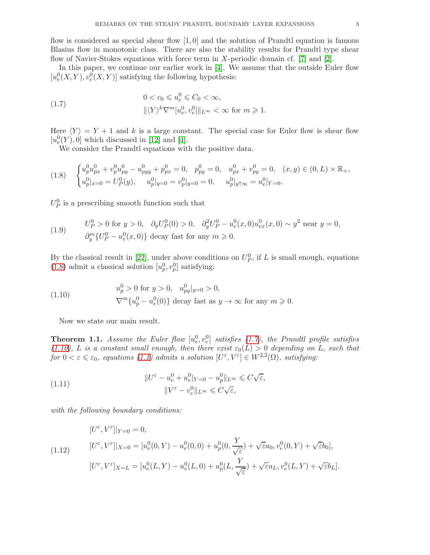flow is considered as special shear flow  $\vert 1, 0 \vert$  and the solution of Prandtl equation is famous Blasius flow in monotonic class. There are also the stability results for Prandtl type shear flow of Navier-Stokes equations with force term in X-periodic domain cf. [7] and [\[2\]](#page-27-3).

In this paper, we continue our earlier work in [\[4\]](#page-27-0). We assume that the outside Euler flow  $[u_e^0(X, Y), v_e^0(X, Y)]$  satisfying the following hypothesis:

<span id="page-2-1"></span>(1.7) 
$$
0 < c_0 \leq u_e^0 \leq C_0 < \infty,
$$

$$
\|\langle Y \rangle^k \nabla^m [u_e^0, v_e^0] \|_{L^\infty} < \infty \text{ for } m \geq 1.
$$

Here  $\langle Y \rangle = Y + 1$  and k is a large constant. The special case for Euler flow is shear flow  $[u^0_e(Y),0]$  which discussed in [\[12\]](#page-28-14) and [\[4\]](#page-27-0).

We consider the Prandtl equations with the positive data.

<span id="page-2-0"></span>
$$
(1.8) \quad\n\begin{cases}\nu_p^0 u_{px}^0 + v_p^0 u_{py}^0 - u_{pyy}^0 + p_{px}^0 = 0, & p_{py}^0 = 0, \quad u_{px}^0 + v_{py}^0 = 0, \quad (x, y) \in (0, L) \times \mathbb{R}_+, \\
u_p^0|_{x=0} = U_p^0(y), \quad u_p^0|_{y=0} = v_p^0|_{y=0} = 0, \quad u_p^0|_{y \uparrow \infty} = u_e^0|_{Y=0}.\n\end{cases}
$$

 $U_P^0$  is a prescribing smooth function such that

<span id="page-2-3"></span>(1.9) 
$$
U_P^0 > 0 \text{ for } y > 0, \quad \partial_y U_P^0(0) > 0, \quad \partial_y^2 U_P^0 - u_e^0(x,0) u_{ex}^0(x,0) \sim y^2 \text{ near } y = 0,
$$

$$
\partial_y^m \{ U_P^0 - u_e^0(x,0) \} \text{ decay fast for any } m \ge 0.
$$

By the classical result in [\[22\]](#page-28-16), under above conditions on  $U_P^0$ , if L is small enough, equations [\(1.8\)](#page-2-0) admit a classical solution  $[u_p^0, v_p^0]$  satisfying:

(1.10) 
$$
u_p^0 > 0 \text{ for } y > 0, \quad u_{py}^0|_{y=0} > 0,
$$

$$
\nabla^m \{u_p^0 - u_e^0(0)\} \text{ decay fast as } y \to \infty \text{ for any } m \ge 0.
$$

<span id="page-2-2"></span>Now we state our main result.

<span id="page-2-4"></span>**Theorem 1.1.** Assume the Euler flow  $[u_e^0, v_e^0]$  satisfies [\(1.7\)](#page-2-1), the Prandtl profile satisfies [\(1.10\)](#page-2-2), L is a constant small enough, then there exist  $\varepsilon_0(L) > 0$  depending on L, such that for  $0 < \varepsilon \leqslant \varepsilon_0$ , equations [\(1.1\)](#page-0-1) admits a solution  $[U^{\varepsilon}, V^{\varepsilon}] \in W^{2,2}(\Omega)$ , satisfying:

(1.11) 
$$
||U^{\varepsilon} - u_e^0 + u_e^0|_{Y=0} - u_p^0||_{L^{\infty}} \leq C\sqrt{\varepsilon},
$$

$$
||V^{\varepsilon} - v_e^0||_{L^{\infty}} \leq C\sqrt{\varepsilon},
$$

with the following boundary conditions:

$$
[U^{\varepsilon}, V^{\varepsilon}]|_{Y=0} = 0,
$$
  
(1.12) 
$$
[U^{\varepsilon}, V^{\varepsilon}]|_{X=0} = [u_e^0(0, Y) - u_e^0(0, 0) + u_p^0(0, \frac{Y}{\sqrt{\varepsilon}}) + \sqrt{\varepsilon}a_0, v_e^0(0, Y) + \sqrt{\varepsilon}b_0],
$$
  

$$
[U^{\varepsilon}, V^{\varepsilon}]_{X=L} = [u_e^0(L, Y) - u_e^0(L, 0) + u_p^0(L, \frac{Y}{\sqrt{\varepsilon}}) + \sqrt{\varepsilon}a_L, v_e^0(L, Y) + \sqrt{\varepsilon}b_L].
$$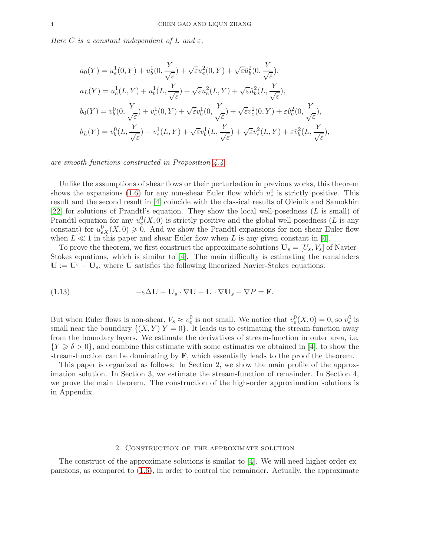Here C is a constant independent of L and  $\varepsilon$ ,

$$
a_0(Y) = u_e^1(0, Y) + u_b^1(0, \frac{Y}{\sqrt{\varepsilon}}) + \sqrt{\varepsilon} u_e^2(0, Y) + \sqrt{\varepsilon} \hat{u}_b^2(0, \frac{Y}{\sqrt{\varepsilon}}),
$$
  
\n
$$
a_L(Y) = u_e^1(L, Y) + u_b^1(L, \frac{Y}{\sqrt{\varepsilon}}) + \sqrt{\varepsilon} u_e^2(L, Y) + \sqrt{\varepsilon} \hat{u}_b^2(L, \frac{Y}{\sqrt{\varepsilon}}),
$$
  
\n
$$
b_0(Y) = v_b^0(0, \frac{Y}{\sqrt{\varepsilon}}) + v_e^1(0, Y) + \sqrt{\varepsilon} v_b^1(0, \frac{Y}{\sqrt{\varepsilon}}) + \sqrt{\varepsilon} v_e^2(0, Y) + \varepsilon \hat{v}_b^2(0, \frac{Y}{\sqrt{\varepsilon}}),
$$
  
\n
$$
b_L(Y) = v_b^0(L, \frac{Y}{\sqrt{\varepsilon}}) + v_e^1(L, Y) + \sqrt{\varepsilon} v_b^1(L, \frac{Y}{\sqrt{\varepsilon}}) + \sqrt{\varepsilon} v_e^2(L, Y) + \varepsilon \hat{v}_b^2(L, \frac{Y}{\sqrt{\varepsilon}}),
$$

are smooth functions constructed in Proposition [4.4.](#page-27-4)

Unlike the assumptions of shear flows or their perturbation in previous works, this theorem shows the expansions [\(1.6\)](#page-1-0) for any non-shear Euler flow which  $u_e^0$  is strictly positive. This result and the second result in [\[4\]](#page-27-0) coincide with the classical results of Oleinik and Samokhin [\[22\]](#page-28-16) for solutions of Prandtl's equation. They show the local well-posedness (L is small) of Prandtl equation for any  $u_e^0(X,0)$  is strictly positive and the global well-posedness (L is any constant) for  $u_{eX}^0(X,0) \geq 0$ . And we show the Prandtl expansions for non-shear Euler flow when  $L \ll 1$  in this paper and shear Euler flow when L is any given constant in [\[4\]](#page-27-0).

To prove the theorem, we first construct the approximate solutions  $\mathbf{U}_s = [U_s, V_s]$  of Navier-Stokes equations, which is similar to  $[4]$ . The main difficulty is estimating the remainders  $U := U^{\varepsilon} - U_s$ , where U satisfies the following linearized Navier-Stokes equations:

(1.13) 
$$
-\varepsilon \Delta \mathbf{U} + \mathbf{U}_s \cdot \nabla \mathbf{U} + \mathbf{U} \cdot \nabla \mathbf{U}_s + \nabla P = \mathbf{F}.
$$

But when Euler flows is non-shear,  $V_s \approx v_e^0$  is not small. We notice that  $v_e^0(X, 0) = 0$ , so  $v_e^0$  is small near the boundary  $\{(X, Y)|Y = 0\}$ . It leads us to estimating the stream-function away from the boundary layers. We estimate the derivatives of stream-function in outer area, i.e.  ${Y \ge \delta > 0}$ , and combine this estimate with some estimates we obtained in [\[4\]](#page-27-0), to show the stream-function can be dominating by  $\bf{F}$ , which essentially leads to the proof the theorem.

This paper is organized as follows: In Section 2, we show the main profile of the approximation solution. In Section 3, we estimate the stream-function of remainder. In Section 4, we prove the main theorem. The construction of the high-order approximation solutions is in Appendix.

### 2. Construction of the approximate solution

The construct of the approximate solutions is similar to [\[4\]](#page-27-0). We will need higher order expansions, as compared to [\(1.6\)](#page-1-0), in order to control the remainder. Actually, the approximate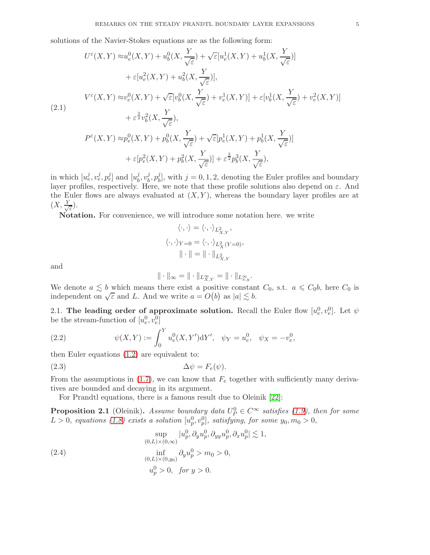solutions of the Navier-Stokes equations are as the following form:

$$
U^{\varepsilon}(X,Y) \approx u_e^0(X,Y) + u_b^0(X, \frac{Y}{\sqrt{\varepsilon}}) + \sqrt{\varepsilon}[u_e^1(X,Y) + u_b^1(X, \frac{Y}{\sqrt{\varepsilon}})]
$$
  
+  $\varepsilon[u_e^2(X,Y) + u_b^2(X, \frac{Y}{\sqrt{\varepsilon}})],$   

$$
V^{\varepsilon}(X,Y) \approx v_e^0(X,Y) + \sqrt{\varepsilon}[v_b^0(X, \frac{Y}{\sqrt{\varepsilon}}) + v_e^1(X,Y)] + \varepsilon[v_b^1(X, \frac{Y}{\sqrt{\varepsilon}}) + v_e^2(X,Y)]
$$
  
(2.1)  

$$
+ \varepsilon^{\frac{3}{2}}v_b^2(X, \frac{Y}{\sqrt{\varepsilon}}),
$$
  

$$
P^{\varepsilon}(X,Y) \approx p_e^0(X,Y) + p_b^0(X, \frac{Y}{\sqrt{\varepsilon}}) + \sqrt{\varepsilon}[p_e^1(X,Y) + p_b^1(X, \frac{Y}{\sqrt{\varepsilon}})]
$$
  
+  $\varepsilon[p_e^2(X,Y) + p_b^2(X, \frac{Y}{\sqrt{\varepsilon}})] + \varepsilon^{\frac{3}{2}}p_b^3(X, \frac{Y}{\sqrt{\varepsilon}}),$ 

in which  $[u_e^j, v_e^j, p_e^j]$  and  $[u_b^j]$  $_{b}^{j},v_{b}^{j}$  $_{b}^{j},p_{b}^{j}$  $b_1^j$ , with  $j = 0, 1, 2$ , denoting the Euler profiles and boundary layer profiles, respectively. Here, we note that these profile solutions also depend on  $\varepsilon$ . And the Euler flows are always evaluated at  $(X, Y)$ , whereas the boundary layer profiles are at  $(X, \frac{Y}{y})$ ε ).

Notation. For convenience, we will introduce some notation here. we write

$$
\langle \cdot, \cdot \rangle = \langle \cdot, \cdot \rangle_{L^2_{X,Y}},
$$

$$
\langle \cdot, \cdot \rangle_{Y=0} = \langle \cdot, \cdot \rangle_{L^2_X(Y=0)},
$$

$$
\|\cdot\| = \|\cdot\|_{L^2_{X,Y}}.
$$

and

$$
\|\cdot\|_{\infty} = \|\cdot\|_{L^{\infty}_{X,Y}} = \|\cdot\|_{L^{\infty}_{x,y}}.
$$

We denote  $a \lesssim b$  which means there exist a positive constant  $C_0$ , s.t.  $a \leq C_0b$ , here  $C_0$  is independent on  $\sqrt{\varepsilon}$  and L. And we write  $a = O(b)$  as  $|a| \lesssim b$ .

2.1. The leading order of approximate solution. Recall the Euler flow  $[u_e^0, v_e^0]$ . Let  $\psi$ be the stream-function of  $[u_e^0, v_e^0]$ 

(2.2) 
$$
\psi(X,Y) := \int_0^Y u_e^0(X,Y')dY', \quad \psi_Y = u_e^0, \quad \psi_X = -v_e^0,
$$

then Euler equations [\(1.2\)](#page-0-0) are equivalent to:

<span id="page-4-0"></span>
$$
\Delta \psi = F_e(\psi).
$$
 (2.3)

From the assumptions in  $(1.7)$ , we can know that  $F_e$  together with sufficiently many derivatives are bounded and decaying in its argument.

For Prandtl equations, there is a famous result due to Oleinik [\[22\]](#page-28-16):

**Proposition 2.1** (Oleinik). Assume boundary data  $U_P^0 \in C^{\infty}$  satisfies [\(1.9\)](#page-2-3), then for some  $L > 0$ , equations [\(1.8\)](#page-2-0) exists a solution  $[u_p^0, v_p^0]$ , satisfying, for some  $y_0, m_0 > 0$ ,

(2.4) 
$$
\sup_{(0,L)\times(0,\infty)} |u_p^0, \partial_y u_p^0, \partial_{yy} u_p^0, \partial_x u_p^0| \lesssim 1,
$$

$$
\inf_{(0,L)\times(0,y_0)} \partial_y u_p^0 > m_0 > 0,
$$

$$
u_p^0 > 0, \text{ for } y > 0.
$$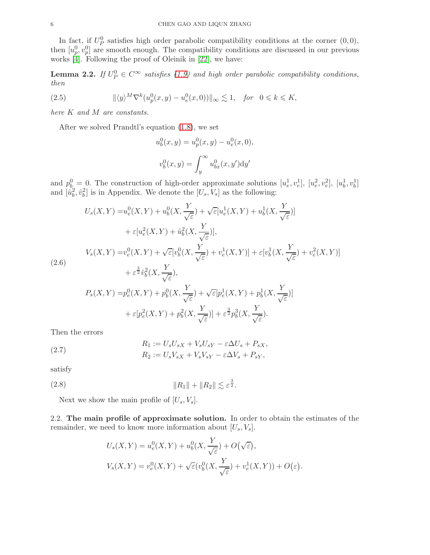In fact, if  $U_P^0$  satisfies high order parabolic compatibility conditions at the corner  $(0,0)$ , then  $[u_p^0, v_p^0]$  are smooth enough. The compatibility conditions are discussed in our previous works  $[4]$ . Following the proof of Oleinik in [\[22\]](#page-28-16), we have:

<span id="page-5-0"></span>**Lemma 2.2.** If  $U_P^0 \in C^\infty$  satisfies [\(1.9\)](#page-2-3) and high order parabolic compatibility conditions, then

(2.5) 
$$
\|\langle y \rangle^M \nabla^k (u_p^0(x, y) - u_e^0(x, 0))\|_{\infty} \lesssim 1, \text{ for } 0 \le k \le K,
$$

here K and M are constants.

After we solved Prandtl's equation [\(1.8\)](#page-2-0), we set

$$
u_b^0(x, y) = u_p^0(x, y) - u_e^0(x, 0),
$$
  

$$
v_b^0(x, y) = \int_y^\infty u_{bx}^0(x, y') \, dy'
$$

and  $p_b^0 = 0$ . The construction of high-order approximate solutions  $[u_e^1, v_e^1]$ ,  $[u_e^2, v_e^2]$ ,  $[u_b^1, v_b^1]$ and  $[\hat{u}_b^2, \hat{v}_b^2]$  is in Appendix. We denote the  $[U_s, V_s]$  as the following:

$$
U_s(X,Y) = u_e^0(X,Y) + u_b^0(X, \frac{Y}{\sqrt{\varepsilon}}) + \sqrt{\varepsilon} [u_e^1(X,Y) + u_b^1(X, \frac{Y}{\sqrt{\varepsilon}})]
$$
  
+  $\varepsilon [u_e^2(X,Y) + \hat{u}_b^2(X, \frac{Y}{\sqrt{\varepsilon}})],$   

$$
V_s(X,Y) = v_e^0(X,Y) + \sqrt{\varepsilon} [v_b^0(X, \frac{Y}{\sqrt{\varepsilon}}) + v_e^1(X,Y)] + \varepsilon [v_b^1(X, \frac{Y}{\sqrt{\varepsilon}}) + v_e^2(X,Y)]
$$
  
(2.6)  

$$
+ \varepsilon^{\frac{3}{2}} \hat{v}_b^2(X, \frac{Y}{\sqrt{\varepsilon}}),
$$
  

$$
P_s(X,Y) = p_e^0(X,Y) + p_b^0(X, \frac{Y}{\sqrt{\varepsilon}}) + \sqrt{\varepsilon} [p_e^1(X,Y) + p_b^1(X, \frac{Y}{\sqrt{\varepsilon}})]
$$
  
+  $\varepsilon [p_e^2(X,Y) + p_b^2(X, \frac{Y}{\sqrt{\varepsilon}})] + \varepsilon^{\frac{3}{2}} p_b^3(X, \frac{Y}{\sqrt{\varepsilon}}).$ 

Then the errors

(2.7) 
$$
R_1 := U_s U_{sX} + V_s U_{sY} - \varepsilon \Delta U_s + P_{sX},
$$

$$
R_2 := U_s V_{sX} + V_s V_{sY} - \varepsilon \Delta V_s + P_{sY},
$$

satisfy

$$
(2.8) \t\t\t\t\t ||R_1|| + ||R_2|| \lesssim \varepsilon^{\frac{3}{2}}.
$$

Next we show the main profile of  $[U_s, V_s]$ .

2.2. The main profile of approximate solution. In order to obtain the estimates of the remainder, we need to know more information about  $[U_s, V_s]$ .

$$
U_s(X,Y) = u_e^0(X,Y) + u_b^0(X, \frac{Y}{\sqrt{\varepsilon}}) + O(\sqrt{\varepsilon}),
$$
  

$$
V_s(X,Y) = v_e^0(X,Y) + \sqrt{\varepsilon}(v_b^0(X, \frac{Y}{\sqrt{\varepsilon}}) + v_e^1(X,Y)) + O(\varepsilon).
$$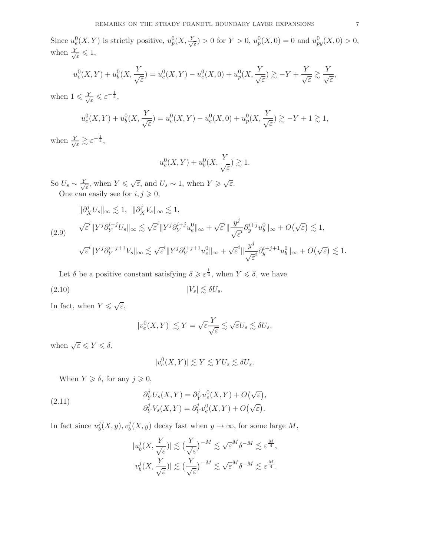$$
u_e^0(X,Y) + u_b^0(X, \frac{Y}{\sqrt{\varepsilon}}) = u_e^0(X,Y) - u_e^0(X,0) + u_p^0(X, \frac{Y}{\sqrt{\varepsilon}}) \gtrsim -Y + \frac{Y}{\sqrt{\varepsilon}} \gtrsim \frac{Y}{\sqrt{\varepsilon}},
$$

when  $1 \leqslant \frac{Y}{\sqrt{2}}$  $\frac{1}{\varepsilon} \leqslant \varepsilon^{-\frac{1}{4}},$ 

$$
u_e^0(X,Y) + u_b^0(X, \frac{Y}{\sqrt{\varepsilon}}) = u_e^0(X,Y) - u_e^0(X,0) + u_p^0(X, \frac{Y}{\sqrt{\varepsilon}}) \gtrsim -Y + 1 \gtrsim 1,
$$

when  $\frac{Y}{\sqrt{2}}$  $\frac{1}{\varepsilon} \gtrsim \varepsilon^{-\frac{1}{4}},$ 

$$
u_e^0(X,Y) + u_b^0(X,\frac{Y}{\sqrt{\varepsilon}}) \gtrsim 1.
$$

So  $U_s \sim \frac{Y}{\sqrt{ }}$  $\frac{\epsilon}{\varepsilon}$ , when  $Y \leqslant \sqrt{\varepsilon}$ , and  $U_s \sim 1$ , when  $Y \geqslant \sqrt{\varepsilon}$ . One can easily see for  $i, j \geq 0$ ,

<span id="page-6-0"></span>
$$
\|\partial_X^j U_s\|_{\infty} \lesssim 1, \quad \|\partial_X^j V_s\|_{\infty} \lesssim 1,
$$
  
(2.9) 
$$
\sqrt{\varepsilon}^i \|Y^j \partial_Y^{i+j} U_s\|_{\infty} \lesssim \sqrt{\varepsilon}^i \|Y^j \partial_Y^{i+j} u_e^0\|_{\infty} + \sqrt{\varepsilon}^i \|\frac{y^j}{\sqrt{\varepsilon}^i} \partial_y^{i+j} u_b^0\|_{\infty} + O(\sqrt{\varepsilon}) \lesssim 1,
$$
  

$$
\sqrt{\varepsilon}^i \|Y^j \partial_Y^{i+j+1} V_s\|_{\infty} \lesssim \sqrt{\varepsilon}^i \|Y^j \partial_Y^{i+j+1} u_e^0\|_{\infty} + \sqrt{\varepsilon}^i \|\frac{y^j}{\sqrt{\varepsilon}^i} \partial_y^{i+j+1} u_b^0\|_{\infty} + O(\sqrt{\varepsilon}) \lesssim 1.
$$

Let  $\delta$  be a positive constant satisfying  $\delta \geqslant \varepsilon^{\frac{1}{4}}$ , when  $Y \leqslant \delta$ , we have

$$
|V_s| \lesssim \delta U_s.
$$

In fact, when  $Y \leqslant \sqrt{\varepsilon}$ ,

$$
|v_e^0(X,Y)| \lesssim Y = \sqrt{\varepsilon} \frac{Y}{\sqrt{\varepsilon}} \lesssim \sqrt{\varepsilon} U_s \lesssim \delta U_s,
$$

when  $\sqrt{\varepsilon} \leqslant Y \leqslant \delta$ ,

$$
|v_e^0(X,Y)| \lesssim Y \lesssim YU_s \lesssim \delta U_s.
$$

When  $Y \geq \delta$ , for any  $j \geq 0$ ,

<span id="page-6-1"></span>(2.11) 
$$
\partial_Y^j U_s(X,Y) = \partial_Y^j u_e^0(X,Y) + O(\sqrt{\varepsilon}),
$$

$$
\partial_Y^j V_s(X,Y) = \partial_Y^j v_e^0(X,Y) + O(\sqrt{\varepsilon}).
$$

In fact since  $u_h^j$  $\frac{j}{b}(X, y), v_b^j$  $b<sub>b</sub>(X, y)$  decay fast when  $y \to \infty$ , for some large M,

$$
|u_b^j(X,\frac{Y}{\sqrt{\varepsilon}})| \lesssim \left(\frac{Y}{\sqrt{\varepsilon}}\right)^{-M} \lesssim \sqrt{\varepsilon}^M \delta^{-M} \lesssim \varepsilon^{\frac{M}{4}},
$$
  

$$
|v_b^j(X,\frac{Y}{\sqrt{\varepsilon}})| \lesssim \left(\frac{Y}{\sqrt{\varepsilon}}\right)^{-M} \lesssim \sqrt{\varepsilon}^M \delta^{-M} \lesssim \varepsilon^{\frac{M}{4}}.
$$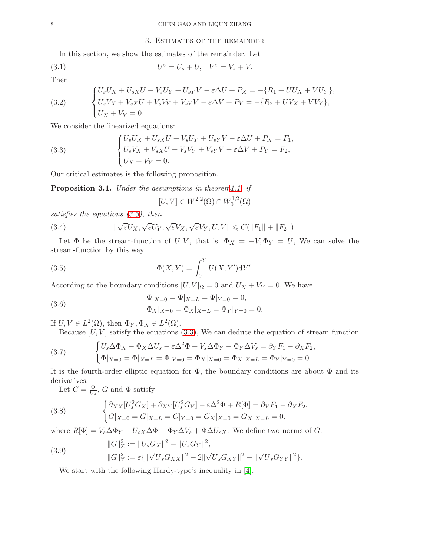#### 3. Estimates of the remainder

In this section, we show the estimates of the remainder. Let

(3.1) 
$$
U^{\varepsilon} = U_s + U, \quad V^{\varepsilon} = V_s + V.
$$

Then

(3.2) 
$$
\begin{cases} U_s U_X + U_{sX} U + V_s U_Y + U_{sY} V - \varepsilon \Delta U + P_X = -\{R_1 + U U_X + V U_Y\}, \\ U_s V_X + V_{sX} U + V_s V_Y + V_{sY} V - \varepsilon \Delta V + P_Y = -\{R_2 + U V_X + V V_Y\}, \\ U_X + V_Y = 0. \end{cases}
$$

We consider the linearized equations:

<span id="page-7-0"></span>(3.3) 
$$
\begin{cases} U_s U_X + U_{sX} U + V_s U_Y + U_{sY} V - \varepsilon \Delta U + P_X = F_1, \\ U_s V_X + V_{sX} U + V_s V_Y + V_{sY} V - \varepsilon \Delta V + P_Y = F_2, \\ U_X + V_Y = 0. \end{cases}
$$

Our critical estimates is the following proposition.

<span id="page-7-3"></span>Proposition 3.1. Under the assumptions in theore[m1.1,](#page-2-4) if

$$
[U,V] \in W^{2,2}(\Omega) \cap W_0^{1,2}(\Omega)
$$

satisfies the equations [\(3.3\)](#page-7-0), then

(3.4) 
$$
\|\sqrt{\varepsilon}U_X,\sqrt{\varepsilon}U_Y,\sqrt{\varepsilon}V_X,\sqrt{\varepsilon}V_Y,U,V\| \leqslant C(\|F_1\| + \|F_2\|).
$$

Let  $\Phi$  be the stream-function of U, V, that is,  $\Phi_X = -V, \Phi_Y = U$ , We can solve the stream-function by this way

(3.5) 
$$
\Phi(X,Y) = \int_0^Y U(X,Y')dY'.
$$

According to the boundary conditions  $[U, V]_{\Omega} = 0$  and  $U_X + V_Y = 0$ , We have

(3.6) 
$$
\Phi|_{X=0} = \Phi|_{X=L} = \Phi|_{Y=0} = 0,
$$

$$
\Phi_X|_{X=0} = \Phi_X|_{X=L} = \Phi_Y|_{Y=0} = 0.
$$

If  $U, V \in L^2(\Omega)$ , then  $\Phi_Y, \Phi_X \in L^2(\Omega)$ .

<span id="page-7-2"></span>Because  $[U, V]$  satisfy the equations [\(3.3\)](#page-7-0), We can deduce the equation of stream function

(3.7) 
$$
\begin{cases} U_s \Delta \Phi_X - \Phi_X \Delta U_s - \varepsilon \Delta^2 \Phi + V_s \Delta \Phi_Y - \Phi_Y \Delta V_s = \partial_Y F_1 - \partial_X F_2, \\ \Phi|_{X=0} = \Phi|_{X=L} = \Phi|_{Y=0} = \Phi_X|_{X=0} = \Phi_X|_{X=L} = \Phi_Y|_{Y=0} = 0. \end{cases}
$$

It is the fourth-order elliptic equation for  $\Phi$ , the boundary conditions are about  $\Phi$  and its derivatives.

<span id="page-7-1"></span>Let  $G = \frac{\Phi}{U_s}$ , G and  $\Phi$  satisfy

(3.8) 
$$
\begin{cases} \partial_{XX} [U_s^2 G_X] + \partial_{XY} [U_s^2 G_Y] - \varepsilon \Delta^2 \Phi + R[\Phi] = \partial_Y F_1 - \partial_X F_2, \\ G|_{X=0} = G|_{X=L} = G|_{Y=0} = G_X|_{X=0} = G_X|_{X=L} = 0. \end{cases}
$$

where  $R[\Phi] = V_s \Delta \Phi_Y - U_{sX} \Delta \Phi - \Phi_Y \Delta V_s + \Phi \Delta U_{sX}$ . We define two norms of G:

(3.9) 
$$
||G||_{\mathbb{X}}^2 := ||U_s G_X||^2 + ||U_s G_Y||^2,
$$

$$
||G||_{\mathbb{Y}}^2 := \varepsilon \{ ||\sqrt{U}_s G_{XX}||^2 + 2 ||\sqrt{U}_s G_{XY}||^2 + ||\sqrt{U}_s G_{YY}||^2 \}.
$$

We start with the following Hardy-type's inequality in [\[4\]](#page-27-0).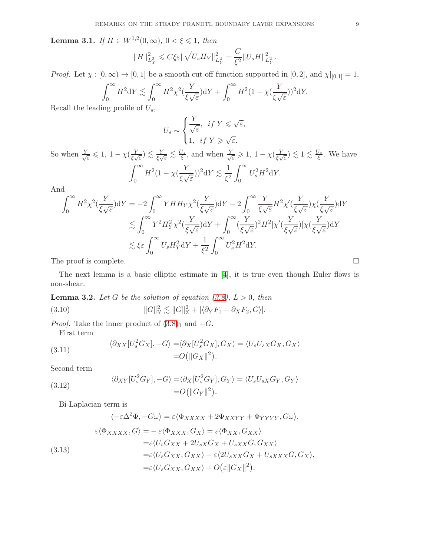<span id="page-8-1"></span>**Lemma 3.1.** If  $H \in W^{1,2}(0, \infty)$ ,  $0 < \xi \le 1$ , then

$$
||H||_{L_Y^2}^2 \leq C \xi \varepsilon ||\sqrt{U_s} H_Y||_{L_Y^2}^2 + \frac{C}{\xi^2} ||U_s H||_{L_Y^2}^2.
$$

*Proof.* Let  $\chi : [0, \infty) \to [0, 1]$  be a smooth cut-off function supported in  $[0, 2]$ , and  $\chi|_{[0,1]} = 1$ ,

$$
\int_0^\infty H^2 dY \lesssim \int_0^\infty H^2 \chi^2(\frac{Y}{\xi \sqrt{\varepsilon}}) dY + \int_0^\infty H^2 (1 - \chi(\frac{Y}{\xi \sqrt{\varepsilon}}))^2 dY.
$$

Recall the leading profile of  $U_s$ ,

$$
U_s \sim \begin{cases} \frac{Y}{\sqrt{\varepsilon}}, & \text{if } Y \leq \sqrt{\varepsilon}, \\ 1, & \text{if } Y \geq \sqrt{\varepsilon}. \end{cases}
$$

So when  $\frac{Y}{\sqrt{2}}$  $\frac{\varepsilon}{\varepsilon} \leqslant 1, 1 - \chi(\frac{Y}{\xi})$  $(\frac{Y}{\xi\sqrt{\varepsilon}}) \lesssim \frac{Y}{\xi\sqrt{\varepsilon}} \lesssim \frac{U_s}{\xi}$ , and when  $\frac{Y}{\sqrt{\varepsilon}}$  $\frac{\varepsilon}{\varepsilon} \geqslant 1, 1 - \chi(\frac{Y}{\xi \sqrt{Y}})$  $(\frac{Y}{\xi\sqrt{\varepsilon}}) \lesssim 1 \lesssim \frac{U_s}{\xi}$ . We have  $\int^{\infty}$  $\theta$  $H^2(1-\chi(\frac{Y}{\xi_{\mathcal{M}}})$  $(\frac{Y}{\xi\sqrt{\varepsilon}}))^2 \mathrm{d}Y \lesssim \frac{1}{\xi^2}$  $\xi^2$  $\int^{\infty}$ 0  $U_s^2 H^2 dY$ .

And

$$
\int_0^\infty H^2 \chi^2(\frac{Y}{\xi \sqrt{\varepsilon}}) \mathrm{d}Y = -2 \int_0^\infty Y H H_Y \chi^2(\frac{Y}{\xi \sqrt{\varepsilon}}) \mathrm{d}Y - 2 \int_0^\infty \frac{Y}{\xi \sqrt{\varepsilon}} H^2 \chi'(\frac{Y}{\xi \sqrt{\varepsilon}}) \chi(\frac{Y}{\xi \sqrt{\varepsilon}}) \mathrm{d}Y
$$
  
\$\lesssim \int\_0^\infty Y^2 H\_Y^2 \chi^2(\frac{Y}{\xi \sqrt{\varepsilon}}) \mathrm{d}Y + \int\_0^\infty (\frac{Y}{\xi \sqrt{\varepsilon}})^2 H^2 |\chi'(\frac{Y}{\xi \sqrt{\varepsilon}})| \chi(\frac{Y}{\xi \sqrt{\varepsilon}}) \mathrm{d}Y\$  
\$\lesssim \xi \varepsilon \int\_0^\infty U\_s H\_Y^2 \mathrm{d}Y + \frac{1}{\xi^2} \int\_0^\infty U\_s^2 H^2 \mathrm{d}Y.

The proof is complete.  $\Box$ 

The next lemma is a basic elliptic estimate in [\[4\]](#page-27-0), it is true even though Euler flows is non-shear.

<span id="page-8-3"></span>**Lemma 3.2.** Let G be the solution of equation [\(3.8\)](#page-7-1),  $L > 0$ , then

<span id="page-8-2"></span>
$$
(3.10) \t\t ||G||\mathcal{Y} \leq ||G||\mathcal{X} \leq ||G||\mathcal{X} \leq ||\partial_Y F_1 - \partial_X F_2, G||.
$$

*Proof.* Take the inner product of  $(3.8)_1$  and  $-G$ . First term

<span id="page-8-0"></span>(3.11) 
$$
\langle \partial_{XX} [U_s^2 G_X], -G \rangle = \langle \partial_X [U_s^2 G_X], G_X \rangle = \langle U_s U_{sX} G_X, G_X \rangle
$$

$$
= O(||G_X||^2).
$$

Second term

(3.12) 
$$
\langle \partial_{XY} [U_s^2 G_Y], -G \rangle = \langle \partial_X [U_s^2 G_Y], G_Y \rangle = \langle U_s U_{sX} G_Y, G_Y \rangle
$$

$$
= O(||G_Y||^2).
$$

Bi-Laplacian term is

$$
\langle -\varepsilon \Delta^2 \Phi, -G\omega \rangle = \varepsilon \langle \Phi_{XXXX} + 2\Phi_{XXYY} + \Phi_{YYYY}, G\omega \rangle.
$$
  

$$
\varepsilon \langle \Phi_{XXXX}, G \rangle = -\varepsilon \langle \Phi_{XXX}, G_X \rangle = \varepsilon \langle \Phi_{XX}, G_{XX} \rangle
$$
  

$$
= \varepsilon \langle U_s G_{XX} + 2U_{sX} G_X + U_{sXX} G, G_{XX} \rangle
$$
  

$$
= \varepsilon \langle U_s G_{XX}, G_{XX} \rangle - \varepsilon \langle 2U_{sXX} G_X + U_{sXXX} G, G_X \rangle,
$$
  

$$
= \varepsilon \langle U_s G_{XX}, G_{XX} \rangle + O(\varepsilon ||G_X||^2).
$$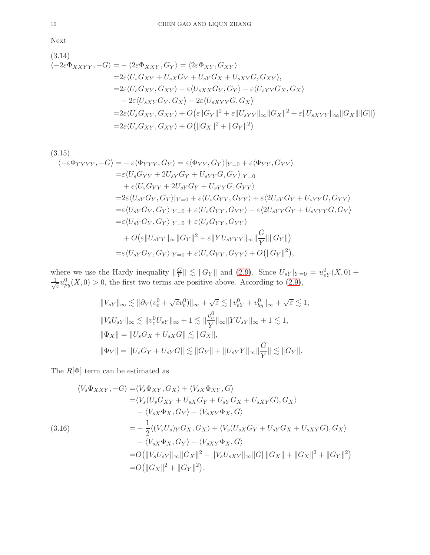Next

(3.14)  
\n
$$
\langle -2\varepsilon\Phi_{XXYY}, -G \rangle = -\langle 2\varepsilon\Phi_{XXY}, G_Y \rangle = \langle 2\varepsilon\Phi_{XY}, G_{XY} \rangle
$$
\n
$$
= 2\varepsilon \langle U_s G_{XY} + U_{sX} G_Y + U_{sY} G_X + U_{sXY} G, G_{XY} \rangle,
$$
\n
$$
= 2\varepsilon \langle U_s G_{XY}, G_{XY} \rangle - \varepsilon \langle U_{sXX} G_Y, G_Y \rangle - \varepsilon \langle U_{sYY} G_X, G_X \rangle
$$
\n
$$
- 2\varepsilon \langle U_{sXY} G_Y, G_X \rangle - 2\varepsilon \langle U_{sXYY} G, G_X \rangle
$$
\n
$$
= 2\varepsilon \langle U_s G_{XY}, G_{XY} \rangle + O(\varepsilon ||G_Y||^2 + \varepsilon ||U_{sYY}||_{\infty} ||G_X||^2 + \varepsilon ||U_{sXYY}||_{\infty} ||G_X|| ||G||)
$$
\n
$$
= 2\varepsilon \langle U_s G_{XY}, G_{XY} \rangle + O(||G_X||^2 + ||G_Y||^2).
$$

$$
(3.15)
$$
\n
$$
\langle -\varepsilon \Phi_{YYYY}, -G \rangle = -\varepsilon \langle \Phi_{YYY}, G_Y \rangle = \varepsilon \langle \Phi_{YY}, G_Y \rangle |_{Y=0} + \varepsilon \langle \Phi_{YY}, G_{YY} \rangle
$$
\n
$$
= \varepsilon \langle U_s G_{YY} + 2U_{sY}G_Y + U_{sYY}G, G_Y \rangle |_{Y=0}
$$
\n
$$
+ \varepsilon \langle U_s G_{YY} + 2U_{sY}G_Y + U_{sYY}G, G_{YY} \rangle
$$
\n
$$
= 2\varepsilon \langle U_{sY}G_Y, G_Y \rangle |_{Y=0} + \varepsilon \langle U_s G_{YY}, G_{YY} \rangle + \varepsilon \langle 2U_{sY}G_Y + U_{sYY}G, G_{YY} \rangle
$$
\n
$$
= \varepsilon \langle U_{sY}G_Y, G_Y \rangle |_{Y=0} + \varepsilon \langle U_s G_{YY}, G_{YY} \rangle - \varepsilon \langle 2U_{sYY}G_Y + U_{sYYY}G, G_Y \rangle
$$
\n
$$
= \varepsilon \langle U_{sY}G_Y, G_Y \rangle |_{Y=0} + \varepsilon \langle U_s G_{YY}, G_{YY} \rangle
$$
\n
$$
+ O(\varepsilon || U_{sYY} ||_{\infty} || G_Y ||^2 + \varepsilon || Y U_{sYYY} ||_{\infty} || \frac{G}{Y} || || G_Y ||)
$$
\n
$$
= \varepsilon \langle U_{sY}G_Y, G_Y \rangle |_{Y=0} + \varepsilon \langle U_s G_{YY}, G_{YY} \rangle + O(|| G_Y ||^2),
$$

where we use the Hardy inequality  $\|\frac{G}{Y}\|$  $\frac{G}{Y}$   $\leq$   $||G_Y||$  and [\(2.9\)](#page-6-0). Since  $U_{sY}|_{Y=0} = u_{eY}^0(X,0) +$ √ 1  $\frac{1}{\varepsilon}u_{py}^0(X,0) > 0$ , the first two terms are positive above. According to [\(2.9\)](#page-6-0),

$$
||V_{sY}||_{\infty} \lesssim ||\partial_Y(v_e^0 + \sqrt{\varepsilon}v_b^0)||_{\infty} + \sqrt{\varepsilon} \lesssim ||v_{eY}^0 + v_{by}^0||_{\infty} + \sqrt{\varepsilon} \lesssim 1,
$$
  
\n
$$
||V_s U_{sY}||_{\infty} \lesssim ||v_e^0 U_{sY}||_{\infty} + 1 \lesssim ||\frac{v_e^0}{Y}||_{\infty} ||Y U_{sY}||_{\infty} + 1 \lesssim 1,
$$
  
\n
$$
||\Phi_X|| = ||U_s G_X + U_{sX} G|| \lesssim ||G_X||,
$$
  
\n
$$
||\Phi_Y|| = ||U_s G_Y + U_{sY} G|| \lesssim ||G_Y|| + ||U_{sY} Y||_{\infty} ||\frac{G}{Y}|| \lesssim ||G_Y||.
$$

The  $R[\Phi]$  term can be estimated as

$$
\langle V_s \Phi_{XXY}, -G \rangle = \langle V_s \Phi_{XY}, G_X \rangle + \langle V_{sX} \Phi_{XY}, G \rangle
$$
  
\n
$$
= \langle V_s (U_s G_{XY} + U_{sX} G_Y + U_{sY} G_X + U_{sXY} G), G_X \rangle
$$
  
\n
$$
- \langle V_{sX} \Phi_X, G_Y \rangle - \langle V_{sXY} \Phi_X, G \rangle
$$
  
\n(3.16)  
\n
$$
= -\frac{1}{2} \langle (V_s U_s)_Y G_X, G_X \rangle + \langle V_s (U_{sX} G_Y + U_{sY} G_X + U_{sXY} G), G_X \rangle
$$
  
\n
$$
- \langle V_{sX} \Phi_X, G_Y \rangle - \langle V_{sXY} \Phi_X, G \rangle
$$
  
\n
$$
= O(||V_s U_{sY}||_{\infty} ||G_X||^2 + ||V_s U_{sXY}||_{\infty} ||G|| ||G_X|| + ||G_X||^2 + ||G_Y||^2)
$$
  
\n
$$
= O(||G_X||^2 + ||G_Y||^2).
$$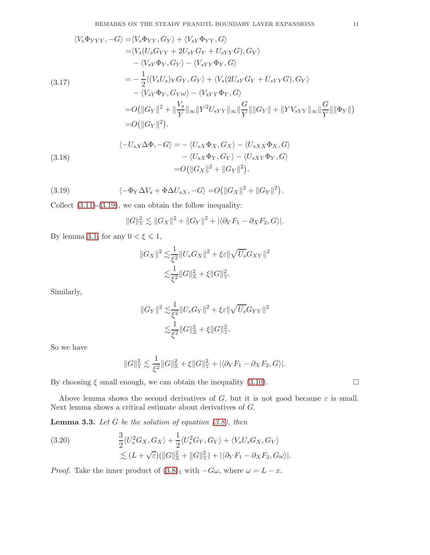$$
\langle V_s \Phi_{YYY}, -G \rangle = \langle V_s \Phi_{YY}, G_Y \rangle + \langle V_{sY} \Phi_{YY}, G \rangle
$$
  
\n
$$
= \langle V_s (U_s G_{YY} + 2U_{sY} G_Y + U_{sYY} G), G_Y \rangle
$$
  
\n
$$
- \langle V_{sY} \Phi_Y, G_Y \rangle - \langle V_{sYY} \Phi_Y, G \rangle
$$
  
\n(3.17)  
\n
$$
= -\frac{1}{2} \langle (V_s U_s)_Y G_Y, G_Y \rangle + \langle V_s (2U_{sY} G_Y + U_{sYY} G), G_Y \rangle
$$
  
\n
$$
- \langle V_{sY} \Phi_Y, G_Y \omega \rangle - \langle V_{sYY} \Phi_Y, G \rangle
$$
  
\n
$$
= O(||G_Y||^2 + ||\frac{V_s}{Y}||_{\infty} ||Y^2 U_{sYY}||_{\infty} ||\frac{G}{Y}||||G_Y|| + ||Y V_{sYY}||_{\infty} ||\frac{G}{Y}||||\Phi_Y||)
$$
  
\n
$$
= O(||G_Y||^2).
$$

(3.18) 
$$
\langle -U_{sX}\Delta\Phi, -G \rangle = -\langle U_{sX}\Phi_X, G_X \rangle - \langle U_{sXX}\Phi_X, G \rangle
$$

$$
-\langle U_{sX}\Phi_Y, G_Y \rangle - \langle U_{sXY}\Phi_Y, G \rangle
$$

$$
= O(||G_X||^2 + ||G_Y||^2).
$$

<span id="page-10-0"></span>(3.19) 
$$
\langle -\Phi_Y \Delta V_s + \Phi \Delta U_{sX}, -G \rangle = O(||G_X||^2 + ||G_Y||^2).
$$

Collect  $(3.11)-(3.19)$  $(3.11)-(3.19)$ , we can obtain the follow inequality:

$$
||G||_{\mathbb{Y}}^{2} \lesssim ||G_{X}||^{2} + ||G_{Y}||^{2} + |\langle \partial_{Y} F_{1} - \partial_{X} F_{2}, G \rangle|.
$$

By lemma [3.1,](#page-8-1) for any  $0 < \xi \leq 1$ ,

$$
||G_X||^2 \lesssim \frac{1}{\xi^2} ||U_s G_X||^2 + \xi \varepsilon ||\sqrt{U_s} G_{XY}||^2
$$
  

$$
\lesssim \frac{1}{\xi^2} ||G||_X^2 + \xi ||G||_Y^2.
$$

Similarly,

$$
||G_Y||^2 \lesssim \frac{1}{\xi^2} ||U_s G_Y||^2 + \xi \varepsilon ||\sqrt{U_s} G_{YY}||^2
$$
  

$$
\lesssim \frac{1}{\xi^2} ||G||_X^2 + \xi ||G||_Y^2.
$$

So we have

$$
||G||_{\mathbb{Y}}^2 \lesssim \frac{1}{\xi^2} ||G||_{\mathbb{X}}^2 + \xi ||G||_{\mathbb{Y}}^2 + |\langle \partial_Y F_1 - \partial_X F_2, G \rangle|.
$$

By choosing  $\xi$  small enough, we can obtain the inequality [\(3.10\)](#page-8-2).

Above lemma shows the second derivatives of G, but it is not good because  $\varepsilon$  is small. Next lemma shows a critical estimate about derivatives of G.

<span id="page-10-1"></span>**Lemma 3.3.** Let  $G$  be the solution of equation  $(3.8)$ , then

(3.20) 
$$
\frac{3}{2}\langle U_s^2G_X, G_X \rangle + \frac{1}{2}\langle U_s^2G_Y, G_Y \rangle + \langle V_sU_sG_X, G_Y \rangle \n\lesssim (L + \sqrt{\varepsilon})(\|G\|_{\mathbb{X}}^2 + \|G\|_{\mathbb{Y}}^2) + |\langle \partial_Y F_1 - \partial_X F_2, G\omega \rangle|.
$$

*Proof.* Take the inner product of  $(3.8)_1$  with  $-G\omega$ , where  $\omega = L - x$ .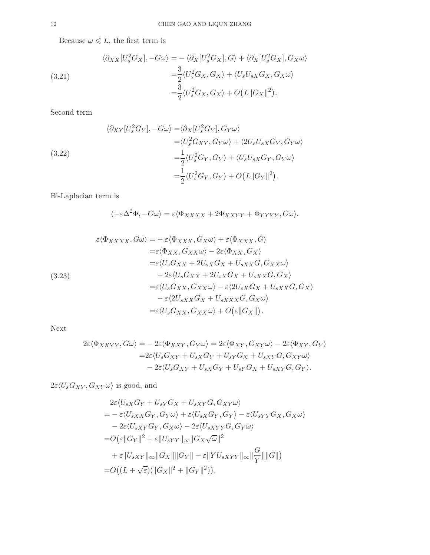Because  $\omega \leq L$ , the first term is

<span id="page-11-0"></span>(3.21)  
\n
$$
\langle \partial_{XX} [U_s^2 G_X], -G\omega \rangle = -\langle \partial_X [U_s^2 G_X], G \rangle + \langle \partial_X [U_s^2 G_X], G_X \omega \rangle
$$
\n
$$
= \frac{3}{2} \langle U_s^2 G_X, G_X \rangle + \langle U_s U_{sX} G_X, G_X \omega \rangle
$$
\n
$$
= \frac{3}{2} \langle U_s^2 G_X, G_X \rangle + O(L ||G_X||^2).
$$

Second term

(3.22)  
\n
$$
\langle \partial_{XY} [U_s^2 G_Y], -G\omega \rangle = \langle \partial_X [U_s^2 G_Y], G_Y \omega \rangle
$$
\n
$$
= \langle U_s^2 G_{XY}, G_Y \omega \rangle + \langle 2U_s U_{sX} G_Y, G_Y \omega \rangle
$$
\n
$$
= \frac{1}{2} \langle U_s^2 G_Y, G_Y \rangle + \langle U_s U_{sX} G_Y, G_Y \omega \rangle
$$
\n
$$
= \frac{1}{2} \langle U_s^2 G_Y, G_Y \rangle + O(L ||G_Y||^2).
$$

Bi-Laplacian term is

$$
\langle -\varepsilon \Delta^2 \Phi, -G\omega \rangle = \varepsilon \langle \Phi_{XXXX} + 2\Phi_{XXYY} + \Phi_{YYYY}, G\omega \rangle.
$$

(3.23)  
\n
$$
\varepsilon \langle \Phi_{XXXX}, G\omega \rangle = -\varepsilon \langle \Phi_{XXX}, G_X \omega \rangle + \varepsilon \langle \Phi_{XXX}, G \rangle
$$
\n
$$
= \varepsilon \langle \Phi_{XX}, G_{XX}\omega \rangle - 2\varepsilon \langle \Phi_{XX}, G_X \rangle
$$
\n
$$
= \varepsilon \langle U_s G_{XX} + 2U_{sX}G_X + U_{sXX}G, G_{XX}\omega \rangle
$$
\n
$$
- 2\varepsilon \langle U_s G_{XX} + 2U_{sX}G_X + U_{sXX}G, G_X \rangle
$$
\n
$$
= \varepsilon \langle U_s G_{XX}, G_{XX}\omega \rangle - \varepsilon \langle 2U_{sX}G_X + U_{sXX}G, G_X \rangle
$$
\n
$$
- \varepsilon \langle 2U_{sXX}G_X + U_{sXXX}G, G_X \omega \rangle
$$
\n
$$
= \varepsilon \langle U_s G_{XX}, G_{XX}\omega \rangle + O(\varepsilon ||G_X||).
$$

Next

$$
2\varepsilon \langle \Phi_{XXYY}, G\omega \rangle = -2\varepsilon \langle \Phi_{XXY}, G_{Y}\omega \rangle = 2\varepsilon \langle \Phi_{XY}, G_{XY}\omega \rangle - 2\varepsilon \langle \Phi_{XY}, G_{Y} \rangle
$$
  

$$
= 2\varepsilon \langle U_s G_{XY} + U_{sX} G_Y + U_{sY} G_X + U_{sXY} G, G_{XY}\omega \rangle
$$
  

$$
-2\varepsilon \langle U_s G_{XY} + U_{sX} G_Y + U_{sY} G_X + U_{sXY} G, G_Y \rangle.
$$

 $2\varepsilon\langle U_sG_{XY},G_{XY}\omega\rangle$  is good, and

$$
2\varepsilon \langle U_{sX}G_Y + U_{sY}G_X + U_{sXY}G, G_{XY}\omega \rangle
$$
  
=  $-\varepsilon \langle U_{sXX}G_Y, G_Y\omega \rangle + \varepsilon \langle U_{sX}G_Y, G_Y \rangle - \varepsilon \langle U_{sYY}G_X, G_X\omega \rangle$   
 $- 2\varepsilon \langle U_{sXY}G_Y, G_X\omega \rangle - 2\varepsilon \langle U_{sXYY}G, G_Y\omega \rangle$   
=  $O(\varepsilon ||G_Y||^2 + \varepsilon ||U_{sYY}||_{\infty} ||G_X\sqrt{\omega}||^2$   
 $+ \varepsilon ||U_{sXY}||_{\infty} ||G_X|| ||G_Y|| + \varepsilon ||YU_{sXYY}||_{\infty} ||\frac{G}{Y}|| ||G||)$   
=  $O((L + \sqrt{\varepsilon})(||G_X||^2 + ||G_Y||^2)),$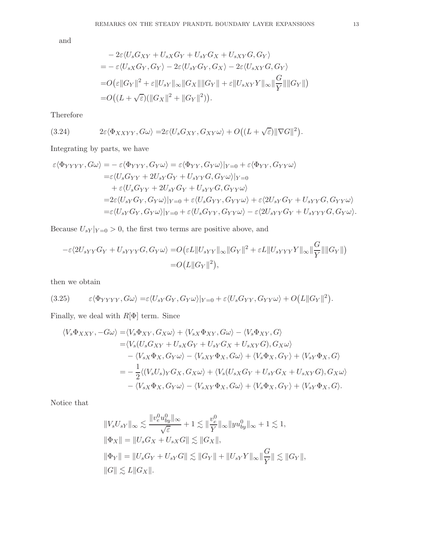and

$$
-2\varepsilon \langle U_s G_{XY} + U_{sX} G_Y + U_{sY} G_X + U_{sXY} G, G_Y \rangle
$$
  
=  $-\varepsilon \langle U_{sX} G_Y, G_Y \rangle - 2\varepsilon \langle U_{sY} G_Y, G_X \rangle - 2\varepsilon \langle U_{sXY} G, G_Y \rangle$   
=  $O(\varepsilon ||G_Y||^2 + \varepsilon ||U_{sY}||_{\infty} ||G_X|| ||G_Y|| + \varepsilon ||U_{sXY} Y||_{\infty} ||\frac{G}{Y}|| ||G_Y||)$   
=  $O((L + \sqrt{\varepsilon})(||G_X||^2 + ||G_Y||^2)).$ 

Therefore

(3.24) 
$$
2\varepsilon \langle \Phi_{XXYY}, G\omega \rangle = 2\varepsilon \langle U_s G_{XY}, G_{XY}\omega \rangle + O((L+\sqrt{\varepsilon})\|\nabla G\|^2).
$$

Integrating by parts, we have

$$
\varepsilon \langle \Phi_{YYYY}, G\omega \rangle = -\varepsilon \langle \Phi_{YYY}, G_Y\omega \rangle = \varepsilon \langle \Phi_{YY}, G_Y\omega \rangle |_{Y=0} + \varepsilon \langle \Phi_{YY}, G_{YY}\omega \rangle
$$
  
\n
$$
= \varepsilon \langle U_s G_{YY} + 2U_{sY}G_Y + U_{sYY}G, G_Y\omega \rangle |_{Y=0}
$$
  
\n
$$
+ \varepsilon \langle U_s G_{YY} + 2U_{sY}G_Y + U_{sYY}G, G_{YY}\omega \rangle
$$
  
\n
$$
= 2\varepsilon \langle U_{sY}G_Y, G_Y\omega \rangle |_{Y=0} + \varepsilon \langle U_s G_{YY}, G_{YY}\omega \rangle + \varepsilon \langle 2U_{sY}G_Y + U_{sYY}G, G_{YY}\omega \rangle
$$
  
\n
$$
= \varepsilon \langle U_{sY}G_Y, G_Y\omega \rangle |_{Y=0} + \varepsilon \langle U_s G_{YY}, G_{YY}\omega \rangle - \varepsilon \langle 2U_{sYY}G_Y + U_{sYYY}G, G_Y\omega \rangle.
$$

Because  $U_{sY}|_{Y=0} > 0$ , the first two terms are positive above, and

$$
-\varepsilon\langle 2U_{sYY}G_Y + U_{sYYY}G, G_Y\omega\rangle = O(\varepsilon L \|U_{sYY}\|_{\infty} \|G_Y\|^2 + \varepsilon L \|U_{sYYY}Y\|_{\infty} \|\frac{G}{Y}\| \|G_Y\|)
$$
  
=  $O(L \|G_Y\|^2),$ 

then we obtain

$$
(3.25) \qquad \varepsilon \langle \Phi_{YYYY}, G\omega \rangle = \varepsilon \langle U_{sY} G_Y, G_Y \omega \rangle |_{Y=0} + \varepsilon \langle U_s G_{YY}, G_{YY} \omega \rangle + O(L ||G_Y||^2).
$$

Finally, we deal with  $R[\Phi]$  term. Since

$$
\langle V_s \Phi_{XXY}, -G\omega \rangle = \langle V_s \Phi_{XY}, G_X \omega \rangle + \langle V_s \Phi_{XY}, G\omega \rangle - \langle V_s \Phi_{XY}, G \rangle
$$
  
\n
$$
= \langle V_s (U_s G_{XY} + U_{sX} G_Y + U_{sY} G_X + U_{sXY} G), G_X \omega \rangle
$$
  
\n
$$
- \langle V_{sX} \Phi_X, G_Y \omega \rangle - \langle V_{sXY} \Phi_X, G\omega \rangle + \langle V_s \Phi_X, G_Y \rangle + \langle V_{sY} \Phi_X, G \rangle
$$
  
\n
$$
= -\frac{1}{2} \langle (V_s U_s)_Y G_X, G_X \omega \rangle + \langle V_s (U_{sX} G_Y + U_{sY} G_X + U_{sXY} G), G_X \omega \rangle
$$
  
\n
$$
- \langle V_{sX} \Phi_X, G_Y \omega \rangle - \langle V_{sXY} \Phi_X, G\omega \rangle + \langle V_s \Phi_X, G_Y \rangle + \langle V_{sY} \Phi_X, G \rangle.
$$

Notice that

$$
||V_s U_{sY}||_{\infty} \lesssim \frac{||v_e^0 u_{by}^0||_{\infty}}{\sqrt{\varepsilon}} + 1 \lesssim ||\frac{v_e^0}{Y}||_{\infty} ||yu_{by}^0||_{\infty} + 1 \lesssim 1,
$$
  

$$
||\Phi_X|| = ||U_s G_X + U_{sX} G|| \lesssim ||G_X||,
$$
  

$$
||\Phi_Y|| = ||U_s G_Y + U_{sY} G|| \lesssim ||G_Y|| + ||U_{sY} Y||_{\infty} ||\frac{G}{Y}|| \lesssim ||G_Y||,
$$
  

$$
||G|| \lesssim L||G_X||.
$$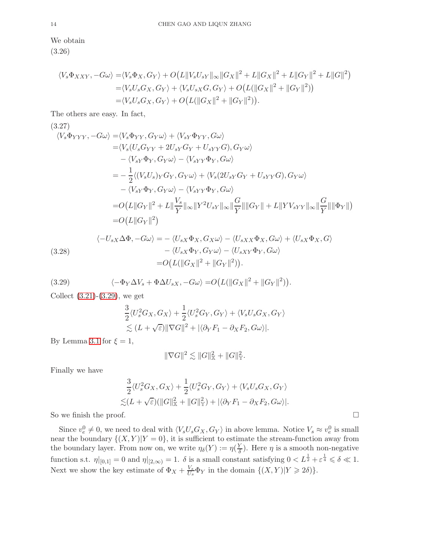We obtain (3.26)

$$
\langle V_s \Phi_{XXY}, -G\omega \rangle = \langle V_s \Phi_X, G_Y \rangle + O(L||V_s U_{sY}||_{\infty} ||G_X||^2 + L||G_X||^2 + L||G_Y||^2 + L||G||^2)
$$
  
=\langle V\_s U\_s G\_X, G\_Y \rangle + \langle V\_s U\_{sX} G, G\_Y \rangle + O(L(||G\_X||^2 + ||G\_Y||^2))  
=\langle V\_s U\_s G\_X, G\_Y \rangle + O(L(||G\_X||^2 + ||G\_Y||^2)).

The others are easy. In fact,

(3.27)  
\n
$$
\langle V_s \Phi_{YYY}, -G\omega \rangle = \langle V_s \Phi_{YY}, G_Y \omega \rangle + \langle V_{sY} \Phi_{YY}, G\omega \rangle
$$
\n
$$
= \langle V_s (U_s G_{YY} + 2U_{sY} G_Y + U_{sYY} G), G_Y \omega \rangle
$$
\n
$$
- \langle V_{sY} \Phi_Y, G_Y \omega \rangle - \langle V_{sYY} \Phi_Y, G\omega \rangle
$$
\n
$$
= -\frac{1}{2} \langle (V_s U_s)_Y G_Y, G_Y \omega \rangle + \langle V_s (2U_{sY} G_Y + U_{sYY} G), G_Y \omega \rangle
$$
\n
$$
- \langle V_{sY} \Phi_Y, G_Y \omega \rangle - \langle V_{sYY} \Phi_Y, G\omega \rangle
$$
\n
$$
= O(L || G_Y ||^2 + L || \frac{V_s}{Y} ||_{\infty} || Y^2 U_{sY} ||_{\infty} || \frac{G}{Y} || || G_Y || + L || Y V_{sYY} ||_{\infty} || \frac{G}{Y} || || \Phi_Y || )
$$
\n
$$
= O(L || G_Y ||^2)
$$

(3.28)  
\n
$$
\langle -U_{sX}\Delta\Phi, -G\omega \rangle = -\langle U_{sX}\Phi_X, G_X\omega \rangle - \langle U_{sXX}\Phi_X, G\omega \rangle + \langle U_{sX}\Phi_X, G \rangle
$$
\n
$$
-\langle U_{sX}\Phi_Y, G_Y\omega \rangle - \langle U_{sXY}\Phi_Y, G\omega \rangle
$$
\n
$$
= O\big(L(\|G_X\|^2 + \|G_Y\|^2)\big).
$$

<span id="page-13-0"></span>(3.29) 
$$
\langle -\Phi_Y \Delta V_s + \Phi \Delta U_{sX}, -G\omega \rangle = O(L(\|G_X\|^2 + \|G_Y\|^2)).
$$

Collect  $(3.21)-(3.29)$  $(3.21)-(3.29)$ , we get

$$
\frac{3}{2}\langle U_s^2G_X, G_X \rangle + \frac{1}{2}\langle U_s^2G_Y, G_Y \rangle + \langle V_sU_sG_X, G_Y \rangle \n\lesssim (L + \sqrt{\varepsilon}) ||\nabla G||^2 + |\langle \partial_Y F_1 - \partial_X F_2, G\omega \rangle|.
$$

By Lemma [3.1](#page-8-1) for  $\xi = 1$ ,

$$
\|\nabla G\|^2 \lesssim \|G\|_{\mathbb{X}}^2 + \|G\|_{\mathbb{Y}}^2.
$$

Finally we have

$$
\frac{3}{2}\langle U_s^2G_X, G_X \rangle + \frac{1}{2}\langle U_s^2G_Y, G_Y \rangle + \langle V_sU_sG_X, G_Y \rangle \n\lesssim (L + \sqrt{\varepsilon})(\|G\|_{\mathbb{X}}^2 + \|G\|_{\mathbb{Y}}^2) + |\langle \partial_Y F_1 - \partial_X F_2, G\omega \rangle|.
$$

So we finish the proof.  $\Box$ 

Since  $v_e^0 \neq 0$ , we need to deal with  $\langle V_s U_s G_X, G_Y \rangle$  in above lemma. Notice  $V_s \approx v_e^0$  is small near the boundary  $\{(X,Y)|Y=0\}$ , it is sufficient to estimate the stream-function away from the boundary layer. From now on, we write  $\eta_{\delta}(Y) := \eta(\frac{Y}{\delta})$  $\frac{\gamma}{\delta}$ ). Here  $\eta$  is a smooth non-negative function s.t.  $\eta|_{[0,1]} = 0$  and  $\eta|_{[2,\infty)} = 1$ .  $\delta$  is a small constant satisfying  $0 < L^{\frac{1}{2}} + \varepsilon^{\frac{1}{4}} \leq \delta \ll 1$ . Next we show the key estimate of  $\Phi_X + \frac{V_s}{U_s}$  $\frac{V_s}{U_s}\Phi_Y$  in the domain  $\{(X,Y)|Y\geqslant 2\delta)\}.$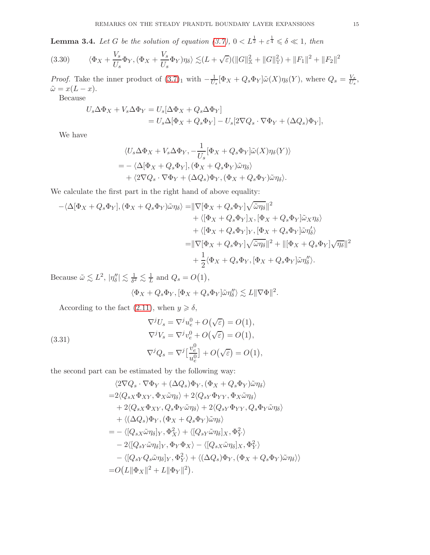<span id="page-14-1"></span>**Lemma 3.4.** Let G be the solution of equation [\(3.7\)](#page-7-2),  $0 < L^{\frac{1}{2}} + \varepsilon^{\frac{1}{4}} \leq \delta \leq 1$ , then

$$
(3.30) \qquad \langle \Phi_X + \frac{V_s}{U_s} \Phi_Y, (\Phi_X + \frac{V_s}{U_s} \Phi_Y) \eta_\delta \rangle \lesssim (L + \sqrt{\varepsilon}) (\|G\|_{\mathbb{X}}^2 + \|G\|_{\mathbb{Y}}^2) + \|F_1\|^2 + \|F_2\|^2
$$

*Proof.* Take the inner product of  $(3.7)_1$  with  $-\frac{1}{U_s}[\Phi_X + Q_s \Phi_Y]\tilde{\omega}(X)\eta_\delta(Y)$ , where  $Q_s = \frac{V_s}{U_s}$  $\frac{V_s}{U_s},$  $\tilde{\omega} = x(L - x).$ 

Because

$$
U_s \Delta \Phi_X + V_s \Delta \Phi_Y = U_s [\Delta \Phi_X + Q_s \Delta \Phi_Y]
$$
  
=  $U_s \Delta [\Phi_X + Q_s \Phi_Y] - U_s [2 \nabla Q_s \cdot \nabla \Phi_Y + (\Delta Q_s) \Phi_Y],$ 

We have

$$
\langle U_s \Delta \Phi_X + V_s \Delta \Phi_Y, -\frac{1}{U_s} [\Phi_X + Q_s \Phi_Y] \tilde{\omega}(X) \eta_\delta(Y) \rangle = - \langle \Delta [\Phi_X + Q_s \Phi_Y], (\Phi_X + Q_s \Phi_Y) \tilde{\omega} \eta_\delta \rangle + \langle 2 \nabla Q_s \cdot \nabla \Phi_Y + (\Delta Q_s) \Phi_Y, (\Phi_X + Q_s \Phi_Y) \tilde{\omega} \eta_\delta \rangle.
$$

We calculate the first part in the right hand of above equality:

$$
-\langle \Delta[\Phi_X + Q_s \Phi_Y], (\Phi_X + Q_s \Phi_Y)\tilde{\omega}\eta_{\delta}\rangle = ||\nabla[\Phi_X + Q_s \Phi_Y]\sqrt{\tilde{\omega}\eta_{\delta}}||^2 + \langle [\Phi_X + Q_s \Phi_Y]_X, [\Phi_X + Q_s \Phi_Y]\tilde{\omega}_X\eta_{\delta}\rangle + \langle [\Phi_X + Q_s \Phi_Y]_Y, [\Phi_X + Q_s \Phi_Y]\tilde{\omega}\eta_{\delta}'\rangle = ||\nabla[\Phi_X + Q_s \Phi_Y]\sqrt{\tilde{\omega}\eta_{\delta}}||^2 + ||[\Phi_X + Q_s \Phi_Y]\sqrt{\eta_{\delta}}||^2 + \frac{1}{2}\langle \Phi_X + Q_s \Phi_Y, [\Phi_X + Q_s \Phi_Y]\tilde{\omega}\eta_{\delta}''\rangle.
$$

Because  $\tilde{\omega} \lesssim L^2$ ,  $|\eta''_{\delta}| \lesssim \frac{1}{\delta^2} \lesssim \frac{1}{L}$  and  $Q_s = O(1)$ ,

$$
\langle \Phi_X + Q_s \Phi_Y, [\Phi_X + Q_s \Phi_Y] \tilde{\omega} \eta''_\delta \rangle \lesssim L ||\nabla \Phi||^2
$$

.

According to the fact [\(2.11\)](#page-6-1), when  $y \geq \delta$ ,

<span id="page-14-0"></span>(3.31)  
\n
$$
\nabla^j U_s = \nabla^j u_e^0 + O(\sqrt{\varepsilon}) = O(1),
$$
\n
$$
\nabla^j V_s = \nabla^j v_e^0 + O(\sqrt{\varepsilon}) = O(1),
$$
\n
$$
\nabla^j Q_s = \nabla^j \left[ \frac{v_e^0}{u_e^0} \right] + O(\sqrt{\varepsilon}) = O(1),
$$

the second part can be estimated by the following way:

$$
\langle 2\nabla Q_s \cdot \nabla \Phi_Y + (\Delta Q_s) \Phi_Y, (\Phi_X + Q_s \Phi_Y) \tilde{\omega} \eta_{\delta} \rangle
$$
  
=2\langle Q\_{sX} \Phi\_{XY}, \Phi\_X \tilde{\omega} \eta\_{\delta} \rangle + 2\langle Q\_{sY} \Phi\_{YY}, \Phi\_X \tilde{\omega} \eta\_{\delta} \rangle  
+ 2\langle Q\_{sX} \Phi\_{XY}, Q\_s \Phi\_Y \tilde{\omega} \eta\_{\delta} \rangle + 2\langle Q\_{sY} \Phi\_{YY}, Q\_s \Phi\_Y \tilde{\omega} \eta\_{\delta} \rangle  
+ \langle (\Delta Q\_s) \Phi\_Y, (\Phi\_X + Q\_s \Phi\_Y) \tilde{\omega} \eta\_{\delta} \rangle  
= - \langle [Q\_{sX} \tilde{\omega} \eta\_{\delta}]\_Y, \Phi\_X^2 \rangle + \langle [Q\_{sY} \tilde{\omega} \eta\_{\delta}]\_X, \Phi\_Y^2 \rangle  
- 2\langle [Q\_{sY} \tilde{\omega} \eta\_{\delta}]\_Y, \Phi\_Y \Phi\_X \rangle - \langle [Q\_{sX} \tilde{\omega} \eta\_{\delta}]\_X, \Phi\_Y^2 \rangle  
- \langle [Q\_{sY} Q\_s \tilde{\omega} \eta\_{\delta}]\_Y, \Phi\_Y^2 \rangle + \langle (\Delta Q\_s) \Phi\_Y, (\Phi\_X + Q\_s \Phi\_Y) \tilde{\omega} \eta\_{\delta} \rangle \rangle  
= O(L || \Phi\_X ||^2 + L || \Phi\_Y ||^2).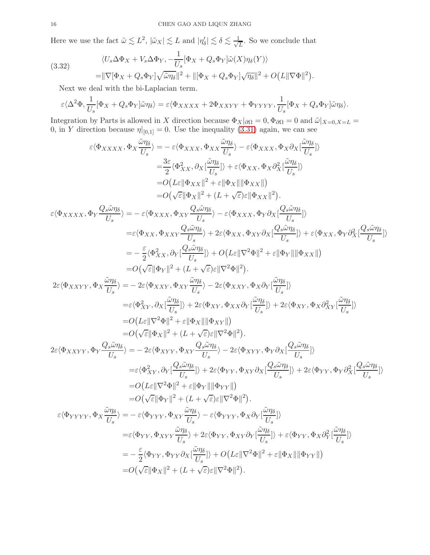Here we use the fact  $\tilde{\omega} \lesssim L^2$ ,  $|\tilde{\omega}_X| \lesssim L$  and  $|\eta'_\delta| \lesssim \delta \lesssim \frac{1}{\sqrt{2}}$  $\frac{1}{L}$ . So we conclude that

(3.32)  
\n
$$
\langle U_s \Delta \Phi_X + V_s \Delta \Phi_Y, -\frac{1}{U_s} [\Phi_X + Q_s \Phi_Y] \tilde{\omega}(X) \eta_\delta(Y) \rangle
$$
\n
$$
= ||\nabla [\Phi_X + Q_s \Phi_Y] \sqrt{\tilde{\omega} \eta_\delta}||^2 + ||[\Phi_X + Q_s \Phi_Y] \sqrt{\eta_\delta}||^2 + O(L ||\nabla \Phi||^2).
$$

Next we deal with the bi-Laplacian term.

$$
\varepsilon \langle \Delta^2 \Phi, \frac{1}{U_s} [\Phi_X + Q_s \Phi_Y] \tilde{\omega} \eta_\delta \rangle = \varepsilon \langle \Phi_{XXXX} + 2\Phi_{XXYY} + \Phi_{YYYY}, \frac{1}{U_s} [\Phi_X + Q_s \Phi_Y] \tilde{\omega} \eta_\delta \rangle.
$$

Integration by Parts is allowed in X direction because  $\Phi_X|_{\partial\Omega} = 0$ ,  $\Phi_{\partial\Omega} = 0$  and  $\tilde{\omega}|_{X=0, X=L} =$ 0, in Y direction because  $\eta|_{[0,1]} = 0$ . Use the inequality [\(3.31\)](#page-14-0) again, we can see

$$
\varepsilon \langle \Phi_{XXXX} , \Phi_X \frac{\partial \eta_{\delta}}{U_s} \rangle = -\varepsilon \langle \Phi_{XXX} , \Phi_{XX} \frac{\partial \eta_{\delta}}{U_s} \rangle - \varepsilon \langle \Phi_{XXX} , \Phi_X \partial_X [\frac{\partial \eta_{\delta}}{U_s}] \rangle
$$
  
\n
$$
= \frac{3\varepsilon}{2} \langle \Phi_{XX}^2 , \partial_X [\frac{\partial \eta_{\delta}}{U_s}] \rangle + \varepsilon \langle \Phi_{XX} , \Phi_X \partial_X^2 [\frac{\partial \eta_{\delta}}{U_s}] \rangle
$$
  
\n
$$
= O(L \|\Phi_{XX}\|^2 + \varepsilon \|\Phi_X\| \|\Phi_{XX}\|)
$$
  
\n
$$
= O(\sqrt{\varepsilon} \|\Phi_X\|^2 + (L + \sqrt{\varepsilon}) \varepsilon \|\Phi_{XX}\|)^2).
$$
  
\n
$$
\varepsilon \langle \Phi_{XXXX} , \Phi_Y \frac{Q_s \tilde{\omega} \eta_{\delta}}{U_s} \rangle = -\varepsilon \langle \Phi_{XXX} , \Phi_{XY} \frac{Q_s \tilde{\omega} \eta_{\delta}}{U_s} \rangle - \varepsilon \langle \Phi_{XXX} , \Phi_Y \partial_X [\frac{Q_s \tilde{\omega} \eta_{\delta}}{U_s} \rangle + \varepsilon \langle \Phi_{XX} , \Phi_Y \partial_X [\frac{Q_s \tilde{\omega} \eta_{\delta}}{U_s}] \rangle
$$
  
\n
$$
= \varepsilon \langle \Phi_{XX}, \Phi_{XXY} \frac{Q_s \tilde{\omega} \eta_{\delta}}{U_s} \rangle + 2\varepsilon \langle \Phi_{XX}, \Phi_X \gamma \partial_X [\frac{Q_s \tilde{\omega} \eta_{\delta}}{U_s}] \rangle + \varepsilon \langle \Phi_{XX}, \Phi_Y \partial_Y \partial_X [\frac{Q_s \tilde{\omega} \eta_{\delta}}{U_s}] \rangle
$$
  
\n
$$
= -\frac{\varepsilon}{2} \langle \Phi_{XX}^2 , \partial_Y [\frac{Q_s \tilde{\omega} \eta_{\delta}}{U_s}] \rangle + O(L \varepsilon \|\nabla^2 \Phi\|^2).
$$
  
\n
$$
2\varepsilon \langle \Phi_{XXYY}, \Phi_X \frac{\tilde{\omega}_{\tilde{W}}}{U_s} \rangle = -2\varepsilon \langle \Phi_{XXY}, \Phi_{XX} \frac{\tilde{\omega} \eta_{\delta}}{
$$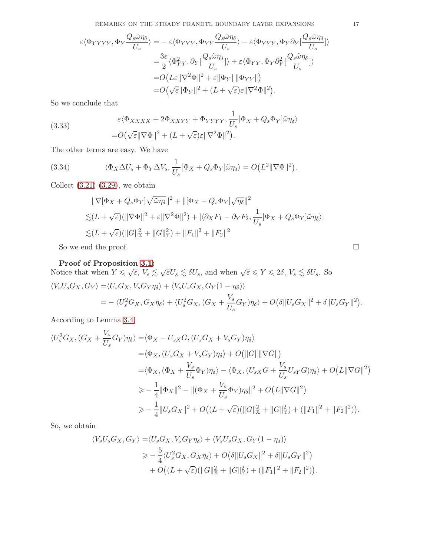$$
\begin{split} \varepsilon \langle \Phi_{YYYY}, \Phi_{Y} \frac{Q_{s} \tilde{\omega} \eta_{\delta}}{U_{s}} \rangle = & - \varepsilon \langle \Phi_{YYY}, \Phi_{YY} \frac{Q_{s} \tilde{\omega} \eta_{\delta}}{U_{s}} \rangle - \varepsilon \langle \Phi_{YYY}, \Phi_{Y} \partial_{Y} [\frac{Q_{s} \tilde{\omega} \eta_{\delta}}{U_{s}}] \rangle \\ = & \frac{3\varepsilon}{2} \langle \Phi_{YY}^{2}, \partial_{Y} [\frac{Q_{s} \tilde{\omega} \eta_{\delta}}{U_{s}}] \rangle + \varepsilon \langle \Phi_{YY}, \Phi_{Y} \partial_{Y}^{2} [\frac{Q_{s} \tilde{\omega} \eta_{\delta}}{U_{s}}] \rangle \\ = & O\big(L\varepsilon \|\nabla^{2}\Phi\|^{2} + \varepsilon \|\Phi_{Y}\| \|\Phi_{YY}\| \big) \\ = & O\big(\sqrt{\varepsilon}\|\Phi_{Y}\|^{2} + (L + \sqrt{\varepsilon})\varepsilon \|\nabla^{2}\Phi\|^{2}\big). \end{split}
$$

So we conclude that

(3.33) 
$$
\varepsilon \langle \Phi_{XXXX} + 2\Phi_{XXYY} + \Phi_{YYYY}, \frac{1}{U_s} [\Phi_X + Q_s \Phi_Y] \tilde{\omega} \eta_{\delta} \rangle = O(\sqrt{\varepsilon} || \nabla \Phi||^2 + (L + \sqrt{\varepsilon}) \varepsilon || \nabla^2 \Phi||^2).
$$

The other terms are easy. We have

(3.34) 
$$
\langle \Phi_X \Delta U_s + \Phi_Y \Delta V_s, \frac{1}{U_s} [\Phi_X + Q_s \Phi_Y] \tilde{\omega} \eta_\delta \rangle = O\big(L^2 || \nabla \Phi||^2\big).
$$

Collect  $(3.21)-(3.29)$  $(3.21)-(3.29)$ , we obtain

$$
\|\nabla[\Phi_X + Q_s \Phi_Y]\sqrt{\tilde{\omega}\eta_\delta}\|^2 + \|[\Phi_X + Q_s \Phi_Y]\sqrt{\eta_\delta}\|^2
$$
  

$$
\lesssim (L + \sqrt{\varepsilon})(\|\nabla\Phi\|^2 + \varepsilon \|\nabla^2\Phi\|^2) + |\langle \partial_X F_1 - \partial_Y F_2, \frac{1}{U_s}[\Phi_X + Q_s \Phi_Y]\tilde{\omega}\eta_\delta\rangle|
$$
  

$$
\lesssim (L + \sqrt{\varepsilon})(\|G\|_X^2 + \|G\|_Y^2) + \|F_1\|^2 + \|F_2\|^2
$$

So we end the proof.  $\Box$ 

# Proof of Proposition [3.1:](#page-7-3)

Notice that when  $Y \leq \sqrt{\varepsilon}$ ,  $V_s \leq \sqrt{\varepsilon}U_s \leq \delta U_s$ , and when  $\sqrt{\varepsilon} \leq Y \leq 2\delta$ ,  $V_s \leq \delta U_s$ . So  $\langle V_sU_sG_X, G_Y \rangle = \langle U_sG_X, V_sG_Y \eta_{\delta} \rangle + \langle V_sU_sG_X, G_Y (1 - \eta_{\delta}) \rangle$ 

$$
= -\langle U_s^2 G_X, G_X \eta_{\delta} \rangle + \langle U_s^2 G_X, (G_X + \frac{V_s}{U_s} G_Y) \eta_{\delta} \rangle + O(\delta \| U_s G_X \|^2 + \delta \| U_s G_Y \|^2).
$$

According to Lemma [3.4,](#page-14-1)

$$
\langle U_s^2 G_X, (G_X + \frac{V_s}{U_s} G_Y) \eta_\delta \rangle = \langle \Phi_X - U_{sX} G, (U_s G_X + V_s G_Y) \eta_\delta \rangle
$$
  
\n
$$
= \langle \Phi_X, (U_s G_X + V_s G_Y) \eta_\delta \rangle + O(||G|| ||\nabla G||)
$$
  
\n
$$
= \langle \Phi_X, (\Phi_X + \frac{V_s}{U_s} \Phi_Y) \eta_\delta \rangle - \langle \Phi_X, (U_{sX} G + \frac{V_s}{U_s} U_{sY} G) \eta_\delta \rangle + O(L ||\nabla G||^2)
$$
  
\n
$$
\geq -\frac{1}{4} ||\Phi_X||^2 - ||(\Phi_X + \frac{V_s}{U_s} \Phi_Y) \eta_\delta||^2 + O(L ||\nabla G||^2)
$$
  
\n
$$
\geq -\frac{1}{4} ||U_s G_X||^2 + O((L + \sqrt{\varepsilon})(||G||_X^2 + ||G||_Y^2) + (||F_1||^2 + ||F_2||^2)).
$$

So, we obtain

$$
\langle V_s U_s G_X, G_Y \rangle = \langle U_s G_X, V_s G_Y \eta_{\delta} \rangle + \langle V_s U_s G_X, G_Y (1 - \eta_{\delta}) \rangle
$$
  
\n
$$
\geq -\frac{5}{4} \langle U_s^2 G_X, G_X \eta_{\delta} \rangle + O\big(\delta \| U_s G_X \|^2 + \delta \| U_s G_Y \|^2 \big)
$$
  
\n
$$
+ O\big((L + \sqrt{\varepsilon}) (\|G\|_X^2 + \|G\|_Y^2) + (\|F_1\|^2 + \|F_2\|^2) \big).
$$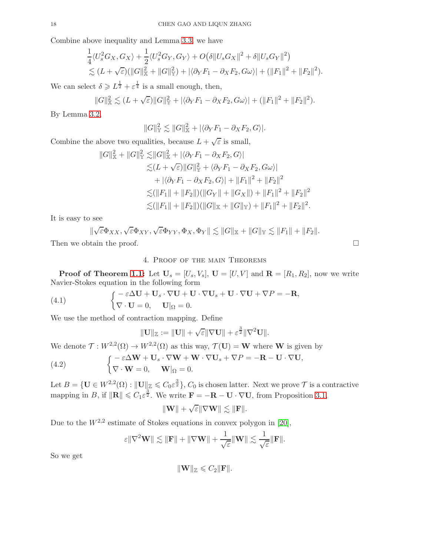Combine above inequality and Lemma [3.3,](#page-10-1) we have

$$
\frac{1}{4}\langle U_s^2 G_X, G_X \rangle + \frac{1}{2}\langle U_s^2 G_Y, G_Y \rangle + O(\delta \| U_s G_X \|^2 + \delta \| U_s G_Y \|^2) \n\lesssim (L + \sqrt{\varepsilon})(\|G\|_X^2 + \|G\|_Y^2) + |\langle \partial_Y F_1 - \partial_X F_2, G\omega \rangle| + (\|F_1\|^2 + \|F_2\|^2).
$$

We can select  $\delta \geqslant L^{\frac{1}{2}} + \varepsilon^{\frac{1}{4}}$  is a small enough, then,

$$
||G||_{\mathbb{X}}^2 \lesssim (L+\sqrt{\varepsilon})||G||_{\mathbb{Y}}^2 + |\langle \partial_Y F_1 - \partial_X F_2, G\omega \rangle| + (||F_1||^2 + ||F_2||^2).
$$

By Lemma [3.2,](#page-8-3)

$$
||G||_{\mathbb{Y}}^2 \lesssim ||G||_{\mathbb{X}}^2 + |\langle \partial_Y F_1 - \partial_X F_2, G \rangle|.
$$

Combine the above two equalities, because  $L + \sqrt{\varepsilon}$  is small,

$$
||G||_{\mathbb{X}}^{2} + ||G||_{\mathbb{Y}}^{2} \lesssim ||G||_{\mathbb{X}}^{2} + |\langle \partial_{Y} F_{1} - \partial_{X} F_{2}, G \rangle|
$$
  
\n
$$
\lesssim (L + \sqrt{\varepsilon}) ||G||_{\mathbb{Y}}^{2} + \langle \partial_{Y} F_{1} - \partial_{X} F_{2}, G\omega \rangle|
$$
  
\n
$$
+ |\langle \partial_{Y} F_{1} - \partial_{X} F_{2}, G \rangle| + ||F_{1}||^{2} + ||F_{2}||^{2}
$$
  
\n
$$
\lesssim (||F_{1}|| + ||F_{2}||)(||G_{Y}|| + ||G_{X}||) + ||F_{1}||^{2} + ||F_{2}||^{2}
$$
  
\n
$$
\lesssim (||F_{1}|| + ||F_{2}||)(||G||_{\mathbb{X}} + ||G||_{\mathbb{Y}}) + ||F_{1}||^{2} + ||F_{2}||^{2}.
$$

It is easy to see

 $\parallel$  $\sqrt{\varepsilon} \Phi_{XX}, \sqrt{\varepsilon} \Phi_{XY}, \sqrt{\varepsilon} \Phi_{YY}, \Phi_{X}, \Phi_{Y} \|\lesssim \|G\|_{\mathbb{X}} + \|G\|_{\mathbb{Y}} \lesssim \|F_1\| + \|F_2\|.$ Then we obtain the proof.  $\Box$ 

# 4. Proof of the main Theorems

**Proof of Theorem [1.1:](#page-2-4)** Let  $U_s = [U_s, V_s]$ ,  $U = [U, V]$  and  $\mathbf{R} = [R_1, R_2]$ , now we write Navier-Stokes equation in the following form

(4.1) 
$$
\begin{cases} -\varepsilon \Delta \mathbf{U} + \mathbf{U}_s \cdot \nabla \mathbf{U} + \mathbf{U} \cdot \nabla \mathbf{U}_s + \mathbf{U} \cdot \nabla \mathbf{U} + \nabla P = -\mathbf{R}, \\ \nabla \cdot \mathbf{U} = 0, \quad \mathbf{U} |_{\Omega} = 0. \end{cases}
$$

We use the method of contraction mapping. Define

<span id="page-17-0"></span>
$$
\|\mathbf{U}\|_{\mathbb{Z}} := \|\mathbf{U}\| + \sqrt{\varepsilon} \|\nabla \mathbf{U}\| + \varepsilon^{\frac{3}{2}} \|\nabla^2 \mathbf{U}\|.
$$

We denote  $\mathcal{T}: W^{2,2}(\Omega) \to W^{2,2}(\Omega)$  as this way,  $\mathcal{T}(\mathbf{U}) = \mathbf{W}$  where **W** is given by

(4.2) 
$$
\begin{cases} -\varepsilon \Delta \mathbf{W} + \mathbf{U}_s \cdot \nabla \mathbf{W} + \mathbf{W} \cdot \nabla \mathbf{U}_s + \nabla P = -\mathbf{R} - \mathbf{U} \cdot \nabla \mathbf{U}, \\ \nabla \cdot \mathbf{W} = 0, \quad \mathbf{W} |_{\Omega} = 0. \end{cases}
$$

Let  $B = \{ \mathbf{U} \in W^{2,2}(\Omega) : ||\mathbf{U}||_{\mathbb{Z}} \leqslant C_0 \varepsilon^{\frac{3}{2}} \}, C_0$  is chosen latter. Next we prove  $\mathcal{T}$  is a contractive mapping in B, if  $\|\mathbf{R}\| \leq C_1 \varepsilon^{\frac{3}{2}}$ . We write  $\mathbf{F} = -\mathbf{R} - \mathbf{U} \cdot \nabla \mathbf{U}$ , from Proposition [3.1,](#page-7-3)

$$
\|\mathbf{W}\| + \sqrt{\varepsilon} \|\nabla \mathbf{W}\| \lesssim \|\mathbf{F}\|.
$$

Due to the  $W^{2,2}$  estimate of Stokes equations in convex polygon in [\[20\]](#page-28-17),

$$
\varepsilon \|\nabla^2 \mathbf{W}\| \lesssim \|\mathbf{F}\| + \|\nabla \mathbf{W}\| + \frac{1}{\sqrt{\varepsilon}} \|\mathbf{W}\| \lesssim \frac{1}{\sqrt{\varepsilon}} \|\mathbf{F}\|.
$$

So we get

$$
\|\mathbf{W}\|_{\mathbb{Z}}\leqslant C_{2}\|\mathbf{F}\|.
$$

$$
\overline{a}
$$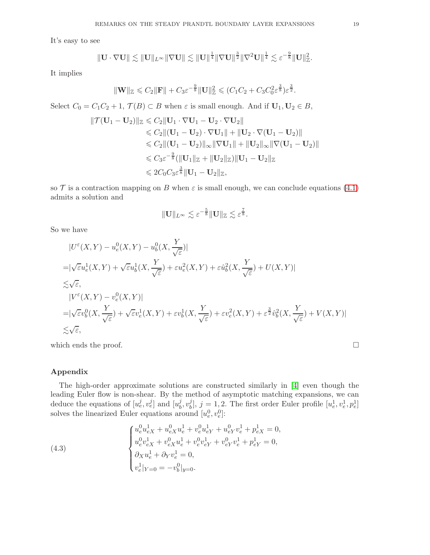It's easy to see

$$
\|\mathbf{U}\cdot\nabla\mathbf{U}\|\lesssim \|\mathbf{U}\|_{L^\infty}\|\nabla\mathbf{U}\|\lesssim \|\mathbf{U}\|^{\frac{1}{4}}\|\nabla\mathbf{U}\|^{\frac{3}{2}}\|\nabla^2\mathbf{U}\|^{\frac{1}{4}}\lesssim \varepsilon^{-\frac{9}{8}}\|\mathbf{U}\|_{\mathbb{Z}}^2.
$$

It implies

$$
\|\mathbf{W}\|_{\mathbb{Z}} \leqslant C_2 \|\mathbf{F}\| + C_3 \varepsilon^{-\frac{9}{8}} \|\mathbf{U}\|_{\mathbb{Z}}^2 \leqslant (C_1 C_2 + C_3 C_0^2 \varepsilon^{\frac{3}{8}}) \varepsilon^{\frac{3}{2}}.
$$

Select  $C_0 = C_1 C_2 + 1$ ,  $\mathcal{T}(B) \subset B$  when  $\varepsilon$  is small enough. And if  $U_1, U_2 \in B$ ,

$$
\|\mathcal{T}(\mathbf{U}_1 - \mathbf{U}_2)\|_{\mathbb{Z}} \leq C_2 \|\mathbf{U}_1 \cdot \nabla \mathbf{U}_1 - \mathbf{U}_2 \cdot \nabla \mathbf{U}_2\|
$$
  
\n
$$
\leq C_2 \|(\mathbf{U}_1 - \mathbf{U}_2) \cdot \nabla \mathbf{U}_1\| + \|\mathbf{U}_2 \cdot \nabla (\mathbf{U}_1 - \mathbf{U}_2)\|
$$
  
\n
$$
\leq C_2 \|(\mathbf{U}_1 - \mathbf{U}_2)\|_{\infty} \|\nabla \mathbf{U}_1\| + \|\mathbf{U}_2\|_{\infty} \|\nabla (\mathbf{U}_1 - \mathbf{U}_2)\|
$$
  
\n
$$
\leq C_3 \varepsilon^{-\frac{9}{8}} (\|\mathbf{U}_1\|_{\mathbb{Z}} + \|\mathbf{U}_2\|_{\mathbb{Z}}) \|\mathbf{U}_1 - \mathbf{U}_2\|_{\mathbb{Z}}
$$
  
\n
$$
\leq 2C_0 C_3 \varepsilon^{\frac{3}{8}} \|\mathbf{U}_1 - \mathbf{U}_2\|_{\mathbb{Z}},
$$

so  $\mathcal T$  is a contraction mapping on B when  $\varepsilon$  is small enough, we can conclude equations [\(4.1\)](#page-17-0) admits a solution and

$$
\|\mathbf{U}\|_{L^{\infty}} \lesssim \varepsilon^{-\frac{5}{8}} \|\mathbf{U}\|_{\mathbb{Z}} \lesssim \varepsilon^{\frac{7}{8}}.
$$

So we have

$$
|U^{\varepsilon}(X,Y) - u_{e}^{0}(X,Y) - u_{b}^{0}(X,\frac{Y}{\sqrt{\varepsilon}})|
$$
  
\n
$$
= |\sqrt{\varepsilon}u_{e}^{1}(X,Y) + \sqrt{\varepsilon}u_{b}^{1}(X,\frac{Y}{\sqrt{\varepsilon}}) + \varepsilon u_{e}^{2}(X,Y) + \varepsilon \hat{u}_{b}^{2}(X,\frac{Y}{\sqrt{\varepsilon}}) + U(X,Y)|
$$
  
\n
$$
\leq \sqrt{\varepsilon},
$$
  
\n
$$
|V^{\varepsilon}(X,Y) - v_{e}^{0}(X,Y)|
$$
  
\n
$$
= |\sqrt{\varepsilon}v_{b}^{0}(X,\frac{Y}{\sqrt{\varepsilon}}) + \sqrt{\varepsilon}v_{e}^{1}(X,Y) + \varepsilon v_{b}^{1}(X,\frac{Y}{\sqrt{\varepsilon}}) + \varepsilon v_{e}^{2}(X,Y) + \varepsilon^{3} \hat{v}_{b}^{2}(X,\frac{Y}{\sqrt{\varepsilon}}) + V(X,Y)|
$$
  
\n
$$
\leq \sqrt{\varepsilon},
$$

which ends the proof.

### Appendix

The high-order approximate solutions are constructed similarly in [\[4\]](#page-27-0) even though the leading Euler flow is non-shear. By the method of asymptotic matching expansions, we can deduce the equations of  $[u_e^j, v_e^j]$  and  $[u_b^j]$  $\frac{j}{b}, v_b^j$  $\hat{y}_b^j$ ,  $j = 1, 2$ . The first order Euler profile  $[u_e^1, v_e^1, p_e^1]$ solves the linearized Euler equations around  $[u_e^0, v_e^0]$ :

<span id="page-18-0"></span>(4.3) 
$$
\begin{cases} u_e^0 u_{eX}^1 + u_{eX}^0 u_e^1 + v_e^0 u_{eY}^1 + u_{eY}^0 v_e^1 + p_{eX}^1 = 0, \\ u_e^0 v_{eX}^1 + v_{eX}^0 u_e^1 + v_e^0 v_{eY}^1 + v_{eY}^0 v_e^1 + p_{eY}^1 = 0, \\ \partial_X u_e^1 + \partial_Y v_e^1 = 0, \\ v_e^1|_{Y=0} = -v_b^0|_{y=0}. \end{cases}
$$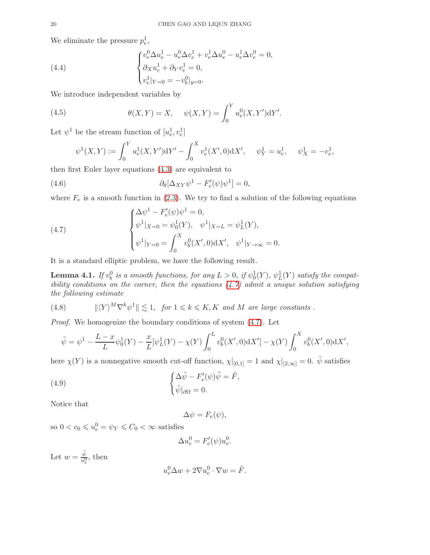We eliminate the pressure  $p_e^1$ ,

(4.4) 
$$
\begin{cases} v_e^0 \Delta u_e^1 - u_e^0 \Delta v_e^1 + v_e^1 \Delta u_e^0 - u_e^1 \Delta v_e^0 = 0, \\ \partial_X u_e^1 + \partial_Y v_e^1 = 0, \\ v_e^1|_{Y=0} = -v_b^0|_{y=0}. \end{cases}
$$

We introduce independent variables by

(4.5) 
$$
\theta(X,Y) = X, \quad \psi(X,Y) = \int_0^Y u_e^0(X,Y')dY'.
$$

Let  $\psi^1$  be the stream function of  $[u_e^1, v_e^1]$ 

$$
\psi^1(X,Y) := \int_0^Y u^1_e(X,Y') dY' - \int_0^X v^1_e(X',0) dX', \quad \psi^1_Y = u^1_e, \quad \psi^1_X = -v^1_e,
$$

then first Euler layer equations [\(4.3\)](#page-18-0) are equivalent to

(4.6) 
$$
\partial_{\theta}[\Delta_{XY}\psi^{1} - F'_{e}(\psi)\psi^{1}] = 0,
$$

where  $F_e$  is a smooth function in [\(2.3\)](#page-4-0). We try to find a solution of the following equations

<span id="page-19-0"></span>(4.7) 
$$
\begin{cases} \Delta \psi^1 - F_e'(\psi) \psi^1 = 0, \\ \psi^1|_{X=0} = \psi_0^1(Y), \quad \psi^1|_{X=L} = \psi_L^1(Y), \\ \psi^1|_{Y=0} = \int_0^X v_b^0(X',0) \mathrm{d} X', \quad \psi^1|_{Y \to \infty} = 0. \end{cases}
$$

It is a standard elliptic problem, we have the following result.

<span id="page-19-2"></span>**Lemma 4.1.** If  $v_b^0$  is a smooth functions, for any  $L > 0$ , if  $\psi_0^1(Y)$ ,  $\psi_L^1(Y)$  satisfy the compatibility conditions on the corner, then the equations  $(4.7)$  admit a unique solution satisfying the following estimate

(4.8) 
$$
\|\langle Y \rangle^M \nabla^k \psi^1 \| \lesssim 1, \text{ for } 1 \leq k \leq K, K \text{ and } M \text{ are large constants.}
$$

Proof. We homogenize the boundary conditions of system [\(4.7\)](#page-19-0). Let

$$
\tilde{\psi} = \psi^1 - \frac{L-x}{L} \psi_0^1(Y) - \frac{x}{L} [\psi_L^1(Y) - \chi(Y)] \int_0^L v_b^0(X', 0) dX' - \chi(Y) \int_0^X v_b^0(X', 0) dX',
$$

here  $\chi(Y)$  is a nonnegative smooth cut-off function,  $\chi|_{[0,1]} = 1$  and  $\chi|_{[2,\infty]} = 0$ .  $\tilde{\psi}$  satisfies

<span id="page-19-1"></span>(4.9) 
$$
\begin{cases} \Delta \tilde{\psi} - F_e'(\psi)\tilde{\psi} = \tilde{F}, \\ \tilde{\psi}|_{\partial \Omega} = 0. \end{cases}
$$

Notice that

$$
\Delta \psi = F_e(\psi),
$$

so  $0 < c_0 \leq u_e^0 = \psi_Y \leq C_0 < \infty$  satisfies

$$
\Delta u_e^0 = F'_e(\psi) u_e^0.
$$

Let  $w = \frac{\tilde{\psi}}{u^0}$  $\frac{\psi}{u_e^0}$ , then

$$
u_e^0 \Delta w + 2 \nabla u_e^0 \cdot \nabla w = \tilde{F}.
$$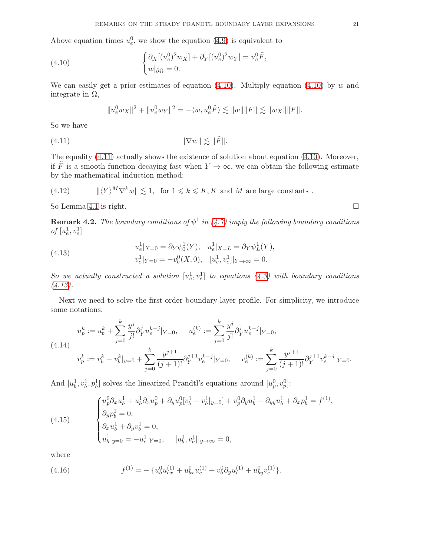Above equation times  $u_e^0$ , we show the equation [\(4.9\)](#page-19-1) is equivalent to

<span id="page-20-0"></span>(4.10) 
$$
\begin{cases} \partial_X[(u_e^0)^2 w_X] + \partial_Y[(u_e^0)^2 w_Y] = u_e^0 \tilde{F}, \\ w|_{\partial\Omega} = 0. \end{cases}
$$

We can easily get a prior estimates of equation  $(4.10)$ . Multiply equation  $(4.10)$  by w and integrate in  $Ω$ ,

$$
||u_e^0 w_X||^2 + ||u_e^0 w_Y||^2 = -\langle w, u_e^0 \tilde{F} \rangle \lesssim ||w|| ||F|| \lesssim ||w_X|| ||F||.
$$

So we have

<span id="page-20-1"></span>
$$
||\nabla w|| \lesssim ||\tilde{F}||.
$$

The equality [\(4.11\)](#page-20-1) actually shows the existence of solution about equation [\(4.10\)](#page-20-0). Moreover, if  $\tilde{F}$  is a smooth function decaying fast when  $Y \to \infty$ , we can obtain the following estimate by the mathematical induction method:

(4.12) 
$$
\|\langle Y \rangle^M \nabla^k w\| \lesssim 1, \text{ for } 1 \leq k \leq K, K \text{ and } M \text{ are large constants }.
$$

So Lemma [4.1](#page-19-2) is right.  $\square$ 

**Remark 4.2.** The boundary conditions of  $\psi^1$  in [\(4.7\)](#page-19-0) imply the following boundary conditions of  $[u_e^1, v_e^1]$ 

<span id="page-20-2"></span>(4.13) 
$$
u_e^1|_{X=0} = \partial_Y \psi_0^1(Y), \quad u_e^1|_{X=L} = \partial_Y \psi_L^1(Y),
$$

$$
v_e^1|_{Y=0} = -v_b^0(X,0), \quad [u_e^1, v_e^1]|_{Y\to\infty} = 0.
$$

So we actually constructed a solution  $[u_e^1, v_e^1]$  to equations  $(4.3)$  with boundary conditions  $(4.13).$  $(4.13).$ 

Next we need to solve the first order boundary layer profile. For simplicity, we introduce some notations.

$$
u_p^k := u_b^k + \sum_{j=0}^k \frac{y^j}{j!} \partial_Y^j u_e^{k-j} |_{Y=0}, \qquad u_e^{(k)} := \sum_{j=0}^k \frac{y^j}{j!} \partial_Y^j u_e^{k-j} |_{Y=0},
$$
\n
$$
(4.14)
$$
\n
$$
v_p^k := v_b^k - v_b^k |_{y=0} + \sum_{j=0}^k \frac{y^{j+1}}{(j+1)!} \partial_Y^{j+1} v_e^{k-j} |_{Y=0}, \qquad v_e^{(k)} := \sum_{j=0}^k \frac{y^{j+1}}{(j+1)!} \partial_Y^{j+1} v_e^{k-j} |_{Y=0}.
$$

And  $[u_b^1, v_b^1, p_b^1]$  solves the linearized Prandtl's equations around  $[u_p^0, v_p^0]$ :

<span id="page-20-3"></span>(4.15) 
$$
\begin{cases} u_p^0 \partial_x u_b^1 + u_b^1 \partial_x u_p^0 + \partial_y u_p^0 [v_b^1 - v_b^1]_{y=0} + v_p^0 \partial_y u_b^1 - \partial_{yy} u_b^1 + \partial_x p_b^1 = f^{(1)}, \\ \partial_y p_b^1 = 0, \\ \partial_x u_b^1 + \partial_y v_b^1 = 0, \\ u_b^1|_{y=0} = -u_e^1|_{Y=0}, \quad [u_b^1, v_b^1]|_{y\to\infty} = 0, \end{cases}
$$

where

(4.16) 
$$
f^{(1)} = -\{u_b^0 u_{ex}^{(1)} + u_{bx}^0 u_e^{(1)} + v_b^0 \partial_y u_e^{(1)} + u_{by}^0 v_e^{(1)}\}.
$$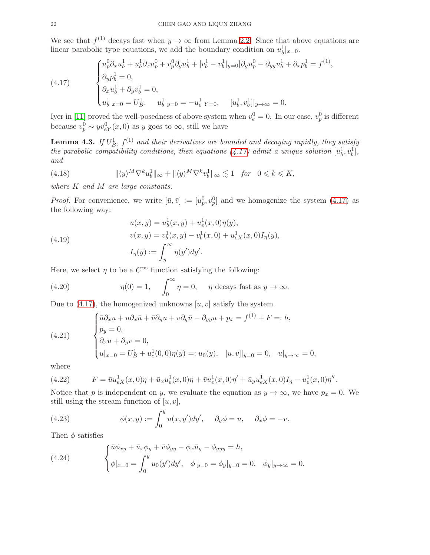We see that  $f^{(1)}$  decays fast when  $y \to \infty$  from Lemma [2.2.](#page-5-0) Since that above equations are linear parabolic type equations, we add the boundary condition on  $u_b^1|_{x=0}$ .

<span id="page-21-0"></span>(4.17) 
$$
\begin{cases} u_p^0 \partial_x u_b^1 + u_b^1 \partial_x u_p^0 + v_p^0 \partial_y u_b^1 + [v_b^1 - v_b^1|_{y=0}] \partial_y u_p^0 - \partial_{yy} u_b^1 + \partial_x p_b^1 = f^{(1)}, \\ \partial_y p_b^1 = 0, \\ \partial_x u_b^1 + \partial_y v_b^1 = 0, \\ u_b^1|_{x=0} = U_B^1, \quad u_b^1|_{y=0} = -u_e^1|_{Y=0}, \quad [u_b^1, v_b^1]|_{y\to\infty} = 0. \end{cases}
$$

Iyer in [\[11\]](#page-28-18) proved the well-posedness of above system when  $v_e^0 = 0$ . In our case,  $v_p^0$  is different because  $v_p^0 \sim yv_{eY}^0(x,0)$  as y goes to  $\infty$ , still we have

<span id="page-21-2"></span>**Lemma 4.3.** If  $U_B^1$ ,  $f^{(1)}$  and their derivatives are bounded and decaying rapidly, they satisfy the parabolic compatibility conditions, then equations [\(4.17\)](#page-21-0) admit a unique solution  $[u_b^1, v_b^1]$ , and

(4.18) 
$$
\|\langle y \rangle^M \nabla^k u_b^1\|_{\infty} + \|\langle y \rangle^M \nabla^k v_b^1\|_{\infty} \lesssim 1 \quad \text{for} \quad 0 \leq k \leq K,
$$

where K and M are large constants.

*Proof.* For convenience, we write  $[\bar{u}, \bar{v}] := [u_p^0, v_p^0]$  and we homogenize the system [\(4.17\)](#page-21-0) as the following way:

(4.19) 
$$
u(x, y) = u_b^1(x, y) + u_e^1(x, 0)\eta(y),
$$

$$
v(x, y) = v_b^1(x, y) - v_b^1(x, 0) + u_{eX}^1(x, 0)I_{\eta}(y),
$$

$$
I_{\eta}(y) := \int_y^{\infty} \eta(y')dy'.
$$

Here, we select  $\eta$  to be a  $C^{\infty}$  function satisfying the following:

(4.20) 
$$
\eta(0) = 1, \quad \int_0^\infty \eta = 0, \quad \eta \text{ decays fast as } y \to \infty.
$$

Due to  $(4.17)$ , the homogenized unknowns  $[u, v]$  satisfy the system

(4.21) 
$$
\begin{cases} \bar{u}\partial_x u + u\partial_x \bar{u} + \bar{v}\partial_y u + v\partial_y \bar{u} - \partial_{yy} u + p_x = f^{(1)} + F =: h, \\ p_y = 0, \\ \partial_x u + \partial_y v = 0, \\ u|_{x=0} = U_B^1 + u_e^1(0,0)\eta(y) =: u_0(y), \quad [u, v]|_{y=0} = 0, \quad u|_{y\to\infty} = 0, \end{cases}
$$

where

(4.22) 
$$
F = \bar{u}u_{eX}^1(x,0)\eta + \bar{u}_xu_e^1(x,0)\eta + \bar{v}u_e^1(x,0)\eta' + \bar{u}_yu_{eX}^1(x,0)I_\eta - u_e^1(x,0)\eta''.
$$

Notice that p is independent on y, we evaluate the equation as  $y \to \infty$ , we have  $p_x = 0$ . We still using the stream-function of  $[u, v]$ ,

(4.23) 
$$
\phi(x,y) := \int_0^y u(x,y')dy', \quad \partial_y \phi = u, \quad \partial_x \phi = -v.
$$

Then  $\phi$  satisfies

<span id="page-21-1"></span>(4.24) 
$$
\begin{cases} \bar{u}\phi_{xy} + \bar{u}_x\phi_y + \bar{v}\phi_{yy} - \phi_x\bar{u}_y - \phi_{yyy} = h, \\ \phi|_{x=0} = \int_0^y u_0(y')dy', \quad \phi|_{y=0} = \phi_y|_{y=0} = 0, \quad \phi_y|_{y\to\infty} = 0. \end{cases}
$$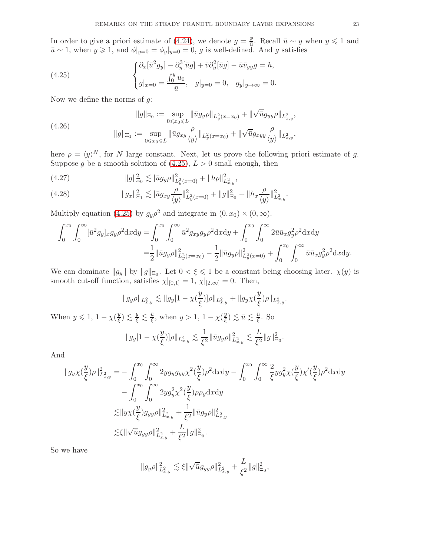In order to give a priori estimate of [\(4.24\)](#page-21-1), we denote  $g = \frac{\phi}{\overline{n}}$  $\frac{\varphi}{\bar{u}}$ . Recall  $\bar{u} \sim y$  when  $y \leq 1$  and  $\bar{u} \sim 1$ , when  $y \geq 1$ , and  $\phi|_{y=0} = \phi_y|_{y=0} = 0$ , g is well-defined. And g satisfies

<span id="page-22-0"></span>(4.25) 
$$
\begin{cases} \partial_x[\bar{u}^2 g_y] - \partial_y^3[\bar{u}g] + \bar{v}\partial_y^2[\bar{u}g] - \bar{u}\bar{v}_{yy}g = h, \\ g|_{x=0} = \frac{\int_0^y u_0}{\bar{u}}, \quad g|_{y=0} = 0, \quad g_y|_{y \to \infty} = 0. \end{cases}
$$

Now we define the norms of  $q$ :

(4.26) 
$$
||g||_{\Xi_0} := \sup_{0 \le x_0 \le L} ||\bar{u}g_y \rho||_{L_y^2(x=x_0)} + ||\sqrt{\bar{u}}g_{yy} \rho||_{L_{x,y}^2},
$$

$$
||g||_{\Xi_1} := \sup_{0 \le x_0 \le L} ||\bar{u}g_{xy} \frac{\rho}{\langle y \rangle}||_{L_y^2(x=x_0)} + ||\sqrt{\bar{u}}g_{xy} \frac{\rho}{\langle y \rangle}||_{L_{x,y}^2},
$$

here  $\rho = \langle y \rangle^N$ , for N large constant. Next, let us prove the following priori estimate of g. Suppose g be a smooth solution of  $(4.25)$ ,  $L > 0$  small enough, then

<span id="page-22-2"></span>(4.27) 
$$
||g||_{\Xi_0}^2 \lesssim ||\bar{u}g_y\rho||_{L_y^2(x=0)}^2 + ||h\rho||_{L_{x,y}^2}^2,
$$

<span id="page-22-1"></span>(4.28) 
$$
||g_x||_{\Xi_1}^2 \lesssim ||\bar{u}g_{xy}\frac{\rho}{\langle y \rangle}||_{L_y^2(x=0)}^2 + ||g||_{\Xi_0}^2 + ||h_x\frac{\rho}{\langle y \rangle}||_{L_{x,y}^2}^2.
$$

Multiply equation [\(4.25\)](#page-22-0) by  $g_y \rho^2$  and integrate in  $(0, x_0) \times (0, \infty)$ .

$$
\int_0^{x_0} \int_0^{\infty} [\bar{u}^2 g_y]_x g_y \rho^2 dx dy = \int_0^{x_0} \int_0^{\infty} \bar{u}^2 g_{xy} g_y \rho^2 dx dy + \int_0^{x_0} \int_0^{\infty} 2 \bar{u} \bar{u}_x g_y^2 \rho^2 dx dy
$$
  
= 
$$
\frac{1}{2} || \bar{u} g_y \rho ||_{L_y^2(x=x_0)}^2 - \frac{1}{2} || \bar{u} g_y \rho ||_{L_y^2(x=0)}^2 + \int_0^{x_0} \int_0^{\infty} \bar{u} \bar{u}_x g_y^2 \rho^2 dx dy.
$$

We can dominate  $||g_y||$  by  $||g||_{\Xi_0}$ . Let  $0 < \xi \leq 1$  be a constant being choosing later.  $\chi(y)$  is smooth cut-off function, satisfies  $\chi|_{[0,1]} = 1$ ,  $\chi|_{[2,\infty]} = 0$ . Then,

$$
||g_y \rho||_{L^2_{x,y}} \lesssim ||g_y[1-\chi(\frac{y}{\xi})]\rho||_{L^2_{x,y}} + ||g_y \chi(\frac{y}{\xi})\rho||_{L^2_{x,y}}.
$$

When  $y \leqslant 1, 1 - \chi(\frac{y}{\xi})$  $\left(\frac{y}{\xi}\right) \lesssim \frac{y}{\xi} \lesssim \frac{\bar{u}}{\xi}$ , when  $y > 1$ ,  $1 - \chi(\frac{y}{\xi})$  $\frac{y}{\xi}) \lesssim \bar{u} \lesssim \frac{\bar{u}}{\xi}$ . So

$$
\|g_y[1-\chi(\frac{y}{\xi})]\rho\|_{L^2_{x,y}} \lesssim \frac{1}{\xi^2} \|\bar{u}g_y\rho\|_{L^2_{x,y}}^2 \lesssim \frac{L}{\xi^2} \|g\|_{\Xi_0}^2.
$$

And

$$
\begin{split} \|g_{y}\chi(\frac{y}{\xi})\rho\|^{2}_{L^{2}_{x,y}}&=-\int_{0}^{x_{0}}\int_{0}^{\infty}2yg_{y}g_{yy}\chi^{2}(\frac{y}{\xi})\rho^{2}\mathrm{d}x\mathrm{d}y-\int_{0}^{x_{0}}\int_{0}^{\infty}\frac{2}{\xi}yg_{y}^{2}\chi(\frac{y}{\xi})\rho^{2}\mathrm{d}x\mathrm{d}y\\ &-\int_{0}^{x_{0}}\int_{0}^{\infty}2yg_{y}^{2}\chi^{2}(\frac{y}{\xi})\rho\rho_{y}\mathrm{d}x\mathrm{d}y\\ \lesssim &\|y\chi(\frac{y}{\xi})g_{yy}\rho\|^{2}_{L^{2}_{x,y}}+\frac{1}{\xi^{2}}\|\bar{u}g_{y}\rho\|^{2}_{L^{2}_{x,y}}\\ \lesssim &\xi\|\sqrt{\bar{u}}g_{yy}\rho\|^{2}_{L^{2}_{x,y}}+\frac{L}{\xi^{2}}\|g\|^{2}_{\Xi_{0}}. \end{split}
$$

So we have

$$
||g_y \rho||_{L^2_{x,y}}^2 \lesssim \xi ||\sqrt{\bar{u}} g_{yy} \rho||_{L^2_{x,y}}^2 + \frac{L}{\xi^2} ||g||_{\Xi_0}^2,
$$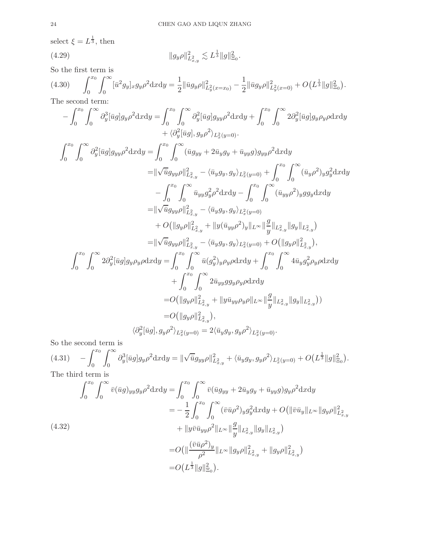select  $\xi = L^{\frac{1}{3}}$ , then

(4.29) 
$$
||g_y \rho||_{L^2_{x,y}}^2 \lesssim L^{\frac{1}{3}} ||g||_{\Xi_0}^2.
$$

So the first term is

<span id="page-23-0"></span>
$$
(4.30) \qquad \int_0^{x_0} \int_0^{\infty} [\bar{u}^2 g_y]_{x} g_y \rho^2 dx dy = \frac{1}{2} ||\bar{u} g_y \rho||^2_{L_y^2(x=x_0)} - \frac{1}{2} ||\bar{u} g_y \rho||^2_{L_y^2(x=0)} + O\left(L^{\frac{1}{3}} ||g||^2_{\Xi_0}\right).
$$

The second term:

$$
-\int_{0}^{x_{0}} \int_{0}^{\infty} \partial_{y}^{3} [\bar{u}g] g_{y} \rho^{2} dx dy = \int_{0}^{x_{0}} \int_{0}^{\infty} \partial_{y}^{2} [\bar{u}g] g_{yy} \rho^{2} dx dy + \int_{0}^{x_{0}} \int_{0}^{\infty} 2 \partial_{y}^{2} [\bar{u}g] g_{y} \rho_{y} \rho dx dy + \langle \partial_{y}^{2} [\bar{u}g], g_{y} \rho^{2} \rangle_{L_{x}^{2}(y=0)}.
$$
  

$$
\int_{0}^{x_{0}} \int_{0}^{\infty} \partial_{y}^{2} [\bar{u}g] g_{yy} \rho^{2} dx dy = \int_{0}^{x_{0}} \int_{0}^{\infty} (\bar{u}g_{yy} + 2\bar{u}_{y}g_{y} + \bar{u}_{yy}g) g_{yy} \rho^{2} dx dy = ||\sqrt{\bar{u}}g_{yy} \rho||^{2}_{L_{x,y}^{2}} - \langle \bar{u}_{y}g_{y}, g_{y} \rangle_{L_{x}^{2}(y=0)} + \int_{0}^{x_{0}} \int_{0}^{\infty} (\bar{u}_{y} \rho^{2})_{y} g_{y}^{2} dx dy = ||\sqrt{\bar{u}}g_{yy} \rho||^{2}_{L_{x,y}^{2}} - \langle \bar{u}_{y}g_{y}, g_{y} \rangle_{L_{x}^{2}(y=0)} + O(||g_{y} \rho||^{2}_{L_{x,y}^{2}} - \langle \bar{u}_{y}g_{y}, g_{y} \rangle_{L_{x}^{2}(y=0)} + O(||g_{y} \rho||^{2}_{L_{x,y}^{2}} - \langle \bar{u}_{y}g_{y}, g_{y} \rangle_{L_{x}^{2}(y=0)} + O(||g_{y} \rho||^{2}_{L_{x,y}^{2}}),
$$
  

$$
= ||\sqrt{\bar{u}}g_{yy} \rho||^{2}_{L_{x,y}^{2}} - \langle \bar{u}_{y}g_{y}, g_{y} \rangle_{L_{x}^{2}(y=0)} + O(||g_{y} \rho||^{2}_{L_{x,y}}),
$$
  

$$
\int_{0}^{x_{0}} \int_{0}^{\infty} 2 \partial_{y}^{2} [\bar{u}g] g_{y} \rho_{y} dx dy = \int_{0}^{x
$$

So the second term is

<span id="page-23-1"></span>
$$
(4.31) \quad -\int_0^{x_0} \int_0^{\infty} \partial_y^3 [\bar{u}g] g_y \rho^2 dx dy = \|\sqrt{\bar{u}} g_{yy} \rho\|_{L^2_{x,y}}^2 + \langle \bar{u}_y g_y, g_y \rho^2 \rangle_{L^2_x(y=0)} + O\left(L^{\frac{1}{3}} \|g\|_{\Xi_0}^2\right).
$$
\nThe third term is

The third term is

<span id="page-23-2"></span>
$$
\int_{0}^{x_{0}} \int_{0}^{\infty} \bar{v}(\bar{u}g)_{yy} g_{y} \rho^{2} \mathrm{d}x \mathrm{d}y = \int_{0}^{x_{0}} \int_{0}^{\infty} \bar{v}(\bar{u}g_{yy} + 2\bar{u}_{y}g_{y} + \bar{u}_{yy}g) g_{y} \rho^{2} \mathrm{d}x \mathrm{d}y
$$
\n
$$
= -\frac{1}{2} \int_{0}^{x_{0}} \int_{0}^{\infty} (\bar{v}\bar{u}\rho^{2})_{y} g_{y}^{2} \mathrm{d}x \mathrm{d}y + O(\|\bar{v}\bar{u}_{y}\|_{L^{\infty}} \|g_{y}\rho\|_{L^{2}_{x,y}}^{2})
$$
\n
$$
+ \|y\bar{v}\bar{u}_{yy} \rho^{2} \|_{L^{\infty}} \|g_{y}\|_{L^{2}_{x,y}} \|g_{y}\|_{L^{2}_{x,y}})
$$
\n
$$
= O(\|\frac{(\bar{v}\bar{u}\rho^{2})_{y}}{\rho^{2}} \|_{L^{\infty}} \|g_{y}\rho\|_{L^{2}_{x,y}}^{2} + \|g_{y}\rho\|_{L^{2}_{x,y}}^{2})
$$
\n
$$
= O(L^{\frac{1}{3}} \|g\|_{\Xi_{0}}^{2}).
$$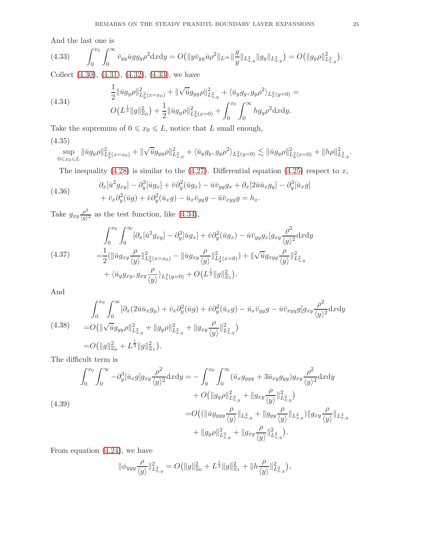And the last one is

<span id="page-24-0"></span>
$$
(4.33) \qquad \int_0^{x_0} \int_0^{\infty} \bar{v}_{yy} \bar{u} g g_y \rho^2 dx dy = O\big( \|y \bar{v}_{yy} \bar{u} \rho^2\|_{L^{\infty}} \| \frac{g}{y} \|_{L^2_{x,y}} \|g_y\|_{L^2_{x,y}} \big) = O\big( \|g_y \rho\|_{L^2_{x,y}}^2 \big).
$$

Collect [\(4.30\)](#page-23-0), [\(4.31\)](#page-23-1), [\(4.32\)](#page-23-2), [\(4.33\)](#page-24-0), we have

<span id="page-24-1"></span>(4.34) 
$$
\frac{1}{2} \|\bar{u}g_y \rho\|_{L_y^2(x=x_0)}^2 + \|\sqrt{\bar{u}}g_{yy}\rho\|_{L_{x,y}^2}^2 + \langle \bar{u}_y g_y, g_y \rho^2 \rangle_{L_x^2(y=0)} =
$$

$$
O\left(L^{\frac{1}{3}} \|g\|_{\Xi_0}^2\right) + \frac{1}{2} \|\bar{u}g_y \rho\|_{L_y^2(x=0)}^2 + \int_0^{x_0} \int_0^\infty h g_y \rho^2 \, \mathrm{d}x \mathrm{d}y.
$$

Take the supremum of  $0 \le x_0 \le L$ , notice that L small enough,

# (4.35)

$$
\sup_{0\leqslant x_0\leqslant L}\|\bar{u}g_y\rho\|_{L_y^2(x=x_0)}^2+\|\sqrt{\bar{u}}g_{yy}\rho\|_{L_{x,y}^2}^2+\langle \bar{u}_yg_y,g_y\rho^2\rangle_{L_x^2(y=0)}\lesssim \|\bar{u}g_y\rho\|_{L_y^2(x=0)}^2+\|h\rho\|_{L_{x,y}^2}^2.
$$

The inequality [\(4.28\)](#page-22-1) is similar to the [\(4.27\)](#page-22-2). Differential equation [\(4.25\)](#page-22-0) respect to  $x$ ,

(4.36) 
$$
\partial_x[\bar{u}^2 g_{xy}] - \partial_y^3[\bar{u}g_x] + \bar{v}\partial_y^2(\bar{u}g_x) - \bar{u}\bar{v}_{yy}g_x + \partial_x[2\bar{u}\bar{u}_xg_y] - \partial_y^3[\bar{u}_xg] + \bar{v}_x\partial_y^2(\bar{u}g) + \bar{v}\partial_y^2(\bar{u}_xg) - \bar{u}_x\bar{v}_{yy}g - \bar{u}\bar{v}_{xyy}g = h_x.
$$

Take  $g_{xy} \frac{\rho^2}{\langle y \rangle}$  $\frac{\rho^2}{\langle y \rangle^2}$  as the test function, like [\(4.34\)](#page-24-1),

<span id="page-24-3"></span>(4.37) 
$$
\int_0^{x_0} \int_0^{\infty} [\partial_x[\bar{u}^2 g_{xy}] - \partial_y^3[\bar{u}g_x] + \bar{v}\partial_y^2(\bar{u}g_x) - \bar{u}\bar{v}_{yy}g_x]g_{xy} \frac{\rho^2}{\langle y \rangle^2} dxdy \n= \frac{1}{2} (\|\bar{u}g_{xy} \frac{\rho}{\langle y \rangle}\|_{L_y^2(x=x_0)}^2 - \|\bar{u}g_{xy} \frac{\rho}{\langle y \rangle}\|_{L_y^2(x=0)}^2) + \|\sqrt{\bar{u}}g_{xy} \frac{\rho}{\langle y \rangle}\|_{L_{x,y}}^2 \n+ \langle \bar{u}_y g_{xy}, g_{xy} \frac{\rho}{\langle y \rangle} \rangle_{L_x^2(y=0)} + O(L^{\frac{1}{3}} \|g\|_{\Xi_1}^2).
$$

And

<span id="page-24-4"></span>
$$
\int_0^{x_0} \int_0^{\infty} [\partial_x (2\bar{u}\bar{u}_x g_y) + \bar{v}_x \partial_y^2 (\bar{u}g) + \bar{v} \partial_y^2 (\bar{u}_x g) - \bar{u}_x \bar{v}_{yy} g - \bar{u} \bar{v}_{xyy} g] g_{xy} \frac{\rho^2}{\langle y \rangle^2} dxdy \n= O(||\sqrt{\bar{u}} g_{yy} \rho||_{L^2_{x,y}}^2 + ||g_y \rho||_{L^2_{x,y}}^2 + ||g_{xy} \frac{\rho}{\langle y \rangle}||_{L^2_{x,y}}^2) \n= O(||g||_{\Xi_0}^2 + L^{\frac{1}{3}} ||g||_{\Xi_1}^2).
$$

The difficult term is

<span id="page-24-2"></span>
$$
\int_{0}^{x_{0}} \int_{0}^{\infty} -\partial_{y}^{3} [\bar{u}_{x}g] g_{xy} \frac{\rho^{2}}{\langle y \rangle^{2}} dx dy = -\int_{0}^{x_{0}} \int_{0}^{\infty} (\bar{u}_{x}g_{yyy} + 3\bar{u}_{xy}g_{yy}) g_{xy} \frac{\rho^{2}}{\langle y \rangle^{2}} dx dy \n+ O(||g_{y}\rho||^{2}_{L^{2}_{x,y}} + ||g_{xy} \frac{\rho}{\langle y \rangle}||^{2}_{L^{2}_{x,y}}) \n= O((||\bar{u}g_{yyy} \frac{\rho}{\langle y \rangle}||_{L^{2}_{x,y}} + ||g_{yy} \frac{\rho}{\langle y \rangle}||_{L^{2}_{x,y}}) ||g_{xy} \frac{\rho}{\langle y \rangle}||_{L^{2}_{x,y}}) \n+ ||g_{y}\rho||^{2}_{L^{2}_{x,y}} + ||g_{xy} \frac{\rho}{\langle y \rangle}||^{2}_{L^{2}_{x,y}}).
$$

From equation [\(4.24\)](#page-21-1), we have

$$
\|\phi_{yyy}\frac{\rho}{\langle y\rangle}\|_{L^2_{x,y}}^2=O\big(\|g\|_{\Xi_0}^2+L^{\frac{1}{3}}\|g\|_{\Xi_1}^2+\|h\frac{\rho}{\langle y\rangle}\|_{L^2_{x,y}}^2\big),
$$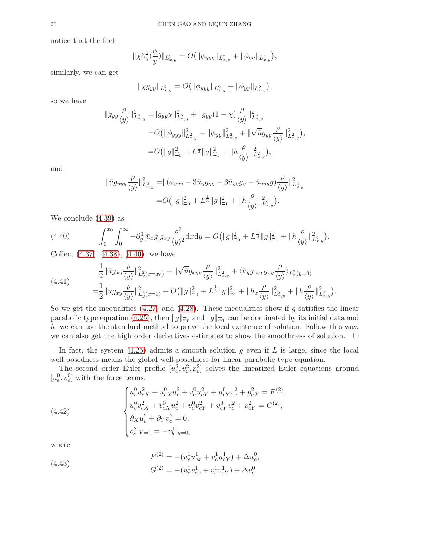notice that the fact

$$
\|\chi \partial_y^2(\frac{\phi}{y})\|_{L^2_{x,y}} = O\big(\|\phi_{yyy}\|_{L^2_{x,y}} + \|\phi_{yy}\|_{L^2_{x,y}}\big),\,
$$

similarly, we can get

$$
\|\chi g_{yy}\|_{L^2_{x,y}} = O\big(\|\phi_{yyy}\|_{L^2_{x,y}} + \|\phi_{yy}\|_{L^2_{x,y}}\big),
$$

so we have

$$
\|g_{yy}\frac{\rho}{\langle y\rangle}\|_{L^2_{x,y}}^2 = \|g_{yy}\chi\|_{L^2_{x,y}}^2 + \|g_{yy}(1-\chi)\frac{\rho}{\langle y\rangle}\|_{L^2_{x,y}}^2
$$
  

$$
= O\left(\|\phi_{yyy}\|_{L^2_{x,y}}^2 + \|\phi_{yy}\|_{L^2_{x,y}}^2 + \|\sqrt{\bar{u}}g_{yy}\frac{\rho}{\langle y\rangle}\|_{L^2_{x,y}}^2\right),
$$
  

$$
= O\left(\|g\|_{\Xi_0}^2 + L^{\frac{1}{3}}\|g\|_{\Xi_1}^2 + \|h\frac{\rho}{\langle y\rangle}\|_{L^2_{x,y}}^2\right),
$$

and

$$
\|\bar{u}g_{yyy}\frac{\rho}{\langle y\rangle}\|_{L^2_{x,y}}^2 = \|(\phi_{yyy}-3\bar{u}_yg_{yy}-3\bar{u}_{yy}g_y-\bar{u}_{yyy}g)\frac{\rho}{\langle y\rangle}\|_{L^2_{x,y}}^2
$$

$$
=O\big(\|g\|_{\Xi_0}^2 + L^{\frac{1}{3}}\|g\|_{\Xi_1}^2 + \|h\frac{\rho}{\langle y\rangle}\|_{L^2_{x,y}}^2\big).
$$

We conclude [\(4.39\)](#page-24-2) as

<span id="page-25-0"></span>(4.40) 
$$
\int_0^{x_0} \int_0^{\infty} -\partial_y^3 [\bar{u}_x g] g_{xy} \frac{\rho^2}{\langle y \rangle^2} dxdy = O(||g||_{\Xi_0}^2 + L^{\frac{1}{3}} ||g||_{\Xi_1}^2 + ||h \frac{\rho}{\langle y \rangle}||_{L^2_{x,y}}^2).
$$

Collect [\(4.37\)](#page-24-3), [\(4.38\)](#page-24-4), [\(4.40\)](#page-25-0), we have

$$
(4.41) \quad \frac{1}{2} \|\bar{u}g_{xy}\frac{\rho}{\langle y\rangle}\|_{L_y^2(x=x_0)}^2 + \|\sqrt{\bar{u}}g_{xyy}\frac{\rho}{\langle y\rangle}\|_{L_x^2(y)}^2 + \langle \bar{u}_yg_{xy}, g_{xy}\frac{\rho}{\langle y\rangle}\rangle_{L_x^2(y=0)} \n= \frac{1}{2} \|\bar{u}g_{xy}\frac{\rho}{\langle y\rangle}\|_{L_y^2(x=0)}^2 + O(\|g\|_{\Xi_0}^2 + L^{\frac{1}{3}}\|g\|_{\Xi_1}^2 + \|h_x\frac{\rho}{\langle y\rangle}\|_{L_{x,y}}^2 + \|h_x\frac{\rho}{\langle y\rangle}\|_{L_{x,y}}^2).
$$

So we get the inequalities  $(4.27)$  and  $(4.28)$ . These inequalities show if g satisfies the linear parabolic type equation [\(4.25\)](#page-22-0), then  $||g||_{\Xi_0}$  and  $||g||_{\Xi_1}$  can be dominated by its initial data and h, we can use the standard method to prove the local existence of solution. Follow this way, we can also get the high order derivatives estimates to show the smoothness of solution.  $\Box$ 

In fact, the system  $(4.25)$  admits a smooth solution g even if L is large, since the local well-posedness means the global well-posedness for linear parabolic type equation.

The second order Euler profile  $[u_e^2, v_e^2, p_e^2]$  solves the linearized Euler equations around  $[u^0_e,v^0_e]$  with the force terms:

<span id="page-25-1"></span>(4.42) 
$$
\begin{cases} u_e^0 u_{eX}^2 + u_{eX}^0 u_e^2 + v_e^0 u_{eY}^2 + u_{eY}^0 v_e^2 + p_{eX}^2 = F^{(2)}, \\ u_e^0 v_{eX}^2 + v_{eX}^0 u_e^2 + v_e^0 v_{eY}^2 + v_{eY}^0 v_e^2 + p_{eY}^2 = G^{(2)}, \\ \partial_X u_e^2 + \partial_Y v_e^2 = 0, \\ v_e^2 |_{Y=0} = -v_b^1 |_{y=0}, \end{cases}
$$

where

(4.43) 
$$
F^{(2)} = -(u_e^1 u_{ex}^1 + v_e^1 u_{eY}^1) + \Delta u_e^0,
$$

$$
G^{(2)} = -(u_e^1 v_{ex}^1 + v_e^1 v_{eY}^1) + \Delta v_e^0.
$$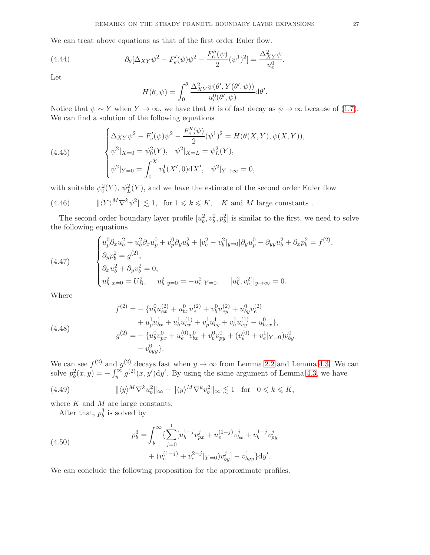We can treat above equations as that of the first order Euler flow.

(4.44) 
$$
\partial_{\theta}[\Delta_{XY}\psi^{2} - F'_{e}(\psi)\psi^{2} - \frac{F''_{e}(\psi)}{2}(\psi^{1})^{2}] = \frac{\Delta_{XY}^{2}\psi}{u_{e}^{0}}.
$$

Let

$$
H(\theta, \psi) = \int_0^{\theta} \frac{\Delta_{XY}^2 \psi(\theta', Y(\theta', \psi))}{u_e^0(\theta', \psi)} d\theta'.
$$

Notice that  $\psi \sim Y$  when  $Y \to \infty$ , we have that H is of fast decay as  $\psi \to \infty$  because of [\(1.7\)](#page-2-1). We can find a solution of the following equations

(4.45) 
$$
\begin{cases} \Delta_{XY}\psi^{2} - F'_{e}(\psi)\psi^{2} - \frac{F''_{e}(\psi)}{2}(\psi^{1})^{2} = H(\theta(X,Y), \psi(X,Y)),\\ \psi^{2}|_{X=0} = \psi_{0}^{2}(Y), \quad \psi^{2}|_{X=L} = \psi_{L}^{2}(Y),\\ \psi^{2}|_{Y=0} = \int_{0}^{X} v_{b}^{1}(X',0) dX', \quad \psi^{2}|_{Y \to \infty} = 0, \end{cases}
$$

with suitable  $\psi_0^2(Y)$ ,  $\psi_L^2(Y)$ , and we have the estimate of the second order Euler flow

(4.46)  $\|\langle Y \rangle^M \nabla^k \psi^2 \| \lesssim 1$ , for  $1 \leq k \leq K$ , K and M large comstants.

The second order boundary layer profile  $[u_b^2, v_b^2, p_b^2]$  is similar to the first, we need to solve the following equations

<span id="page-26-0"></span>(4.47) 
$$
\begin{cases} u_p^0 \partial_x u_b^2 + u_b^2 \partial_x u_p^0 + v_p^0 \partial_y u_b^2 + [v_b^2 - v_b^2|_{y=0}] \partial_y u_p^0 - \partial_{yy} u_b^2 + \partial_x p_b^2 = f^{(2)}, \\ \partial_y p_b^2 = g^{(2)}, \\ \partial_x u_b^2 + \partial_y v_b^2 = 0, \\ u_b^2|_{x=0} = U_B^2, \quad u_b^2|_{y=0} = -u_e^2|_{Y=0}, \quad [u_b^2, v_b^2]|_{y\to\infty} = 0. \end{cases}
$$

Where

(4.48)  
\n
$$
f^{(2)} = -\{u_b^0 u_{ex}^{(2)} + u_{bx}^0 u_e^{(2)} + v_b^0 u_{ey}^{(2)} + u_{by}^0 v_e^{(2)} + u_{by}^1 u_{by}^1 + u_{by}^1 u_{ex}^{(1)} + u_{by}^1 u_{ex}^{(1)} + v_{by}^1 u_{ey}^{(1)} + v_{bx}^1 v_{ey}^{(1)} - u_{bxx}^0\},
$$
\n
$$
g^{(2)} = -\{u_b^0 v_{px}^0 + u_e^{(0)} v_{bx}^0 + v_b^0 v_{py}^0 + (v_e^{(0)} + v_e^1 |_{Y=0}) v_{by}^0 - v_{byy}^0\}.
$$

We can see  $f^{(2)}$  and  $g^{(2)}$  decays fast when  $y \to \infty$  from Lemma [2.2](#page-5-0) and Lemma [4.3.](#page-21-2) We can solve  $p_b^2(x, y) = -\int_y^{\infty} g^{(2)}(x, y') dy'$ . By using the same argument of Lemma [4.3,](#page-21-2) we have

(4.49) 
$$
\|\langle y \rangle^M \nabla^k u_b^2\|_{\infty} + \|\langle y \rangle^M \nabla^k v_b^2\|_{\infty} \lesssim 1 \text{ for } 0 \leq k \leq K,
$$

where  $K$  and  $M$  are large constants.

After that,  $p_b^3$  is solved by

(4.50) 
$$
p_b^3 = \int_y^{\infty} \{ \sum_{j=0}^1 [u_b^{1-j} v_{px}^j + u_e^{(1-j)} v_{bx}^j + v_b^{1-j} v_{py}^j + (v_e^{(1-j)} + v_e^{2-j}|_{Y=0}) v_{by}^j] - v_{byy}^1 \} dy'.
$$

We can conclude the following proposition for the approximate profiles.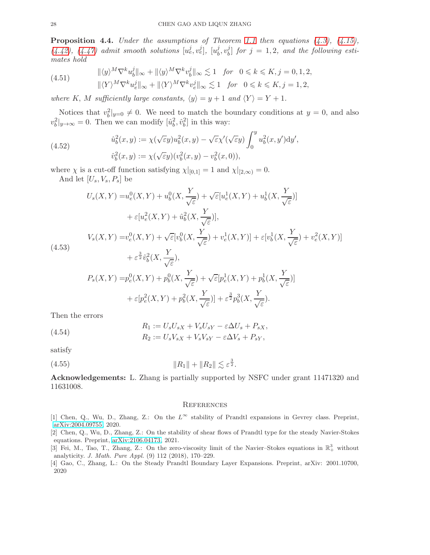<span id="page-27-4"></span>**Proposition 4.4.** Under the assumptions of Theorem [1.1](#page-2-4) then equations  $(4.3)$ ,  $(4.15)$ ,  $(4.42), (4.47)$  $(4.42), (4.47)$  $(4.42), (4.47)$  admit smooth solutions  $[u_e^j, v_e^j]$ ,  $[u_b^j]$  $\frac{j}{b}, v_b^j$  $b_0^j$  for  $j = 1, 2$ , and the following estimates hold

(4.51) 
$$
\|\langle y \rangle^M \nabla^k u_b^j\|_{\infty} + \|\langle y \rangle^M \nabla^k v_b^j\|_{\infty} \lesssim 1 \text{ for } 0 \le k \le K, j = 0, 1, 2,
$$

$$
\|\langle Y \rangle^M \nabla^k u_e^j\|_{\infty} + \|\langle Y \rangle^M \nabla^k v_e^j\|_{\infty} \lesssim 1 \text{ for } 0 \le k \le K, j = 1, 2,
$$

where K, M sufficiently large constants,  $\langle y \rangle = y + 1$  and  $\langle Y \rangle = Y + 1$ .

Notices that  $v_b^2|_{y=0} \neq 0$ . We need to match the boundary conditions at  $y=0$ , and also  $v_b^2|_{y\to\infty} = 0$ . Then we can modify  $[\hat{u}_b^2, \hat{v}_b^2]$  in this way:

(4.52) 
$$
\hat{u}_b^2(x,y) := \chi(\sqrt{\varepsilon}y)u_b^2(x,y) - \sqrt{\varepsilon}\chi'(\sqrt{\varepsilon}y)\int_0^y u_b^2(x,y')\mathrm{d}y',
$$

$$
\hat{v}_b^2(x,y) := \chi(\sqrt{\varepsilon}y)(v_b^2(x,y) - v_b^2(x,0)),
$$

where  $\chi$  is a cut-off function satisfying  $\chi|_{[0,1]} = 1$  and  $\chi|_{[2,\infty)} = 0$ . And let  $\left[U_s,V_s,P_s\right]$  be

$$
U_s(X,Y) = u_e^0(X,Y) + u_b^0(X, \frac{Y}{\sqrt{\varepsilon}}) + \sqrt{\varepsilon} [u_e^1(X,Y) + u_b^1(X, \frac{Y}{\sqrt{\varepsilon}})]
$$
  
+  $\varepsilon [u_e^2(X,Y) + \hat{u}_b^2(X, \frac{Y}{\sqrt{\varepsilon}})],$   

$$
V_s(X,Y) = v_e^0(X,Y) + \sqrt{\varepsilon} [v_b^0(X, \frac{Y}{\sqrt{\varepsilon}}) + v_e^1(X,Y)] + \varepsilon [v_b^1(X, \frac{Y}{\sqrt{\varepsilon}}) + v_e^2(X,Y)]
$$
  
(4.53)  
+  $\varepsilon^{\frac{3}{2}} \hat{v}_b^2(X, \frac{Y}{\sqrt{\varepsilon}}),$   

$$
P_s(X,Y) = p_e^0(X,Y) + p_b^0(X, \frac{Y}{\sqrt{\varepsilon}}) + \sqrt{\varepsilon} [p_e^1(X,Y) + p_b^1(X, \frac{Y}{\sqrt{\varepsilon}})]
$$
  
+  $\varepsilon [p_e^2(X,Y) + p_b^2(X, \frac{Y}{\sqrt{\varepsilon}})] + \varepsilon^{\frac{3}{2}} p_b^3(X, \frac{Y}{\sqrt{\varepsilon}}).$ 

Then the errors

(4.54) 
$$
R_1 := U_s U_{sX} + V_s U_{sY} - \varepsilon \Delta U_s + P_{sX},
$$

$$
R_2 := U_s V_{sX} + V_s V_{sY} - \varepsilon \Delta V_s + P_{sY},
$$

satisfy

(4.55) 
$$
||R_1|| + ||R_2|| \lesssim \varepsilon^{\frac{3}{2}}.
$$

Acknowledgements: L. Zhang is partially supported by NSFC under grant 11471320 and 11631008.

### **REFERENCES**

- <span id="page-27-2"></span>[1] Chen, Q., Wu, D., Zhang, Z.: On the  $L^{\infty}$  stability of Prandtl expansions in Gevrey class. Preprint, [arXiv:2004.09755,](http://arxiv.org/abs/2004.09755) 2020.
- <span id="page-27-3"></span>[2] Chen, Q., Wu, D., Zhang, Z.: On the stability of shear flows of Prandtl type for the steady Navier-Stokes equations. Preprint, [arXiv:2106.04173,](http://arxiv.org/abs/2106.04173) 2021.
- <span id="page-27-1"></span>[3] Fei, M., Tao, T., Zhang, Z.: On the zero-viscosity limit of the Navier-Stokes equations in  $\mathbb{R}^3_+$  without analyticity. J. Math. Pure Appl. (9) 112 (2018), 170–229.
- <span id="page-27-0"></span>[4] Gao, C., Zhang, L.: On the Steady Prandtl Boundary Layer Expansions. Preprint, arXiv: 2001.10700, 2020